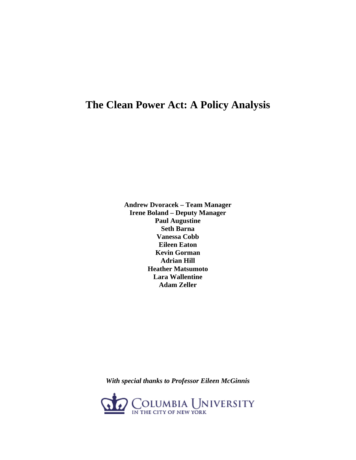## **The Clean Power Act: A Policy Analysis**

**Andrew Dvoracek – Team Manager Irene Boland – Deputy Manager Paul Augustine Seth Barna Vanessa Cobb Eileen Eaton Kevin Gorman Adrian Hill Heather Matsumoto Lara Wallentine Adam Zeller** 

*With special thanks to Professor Eileen McGinnis* 

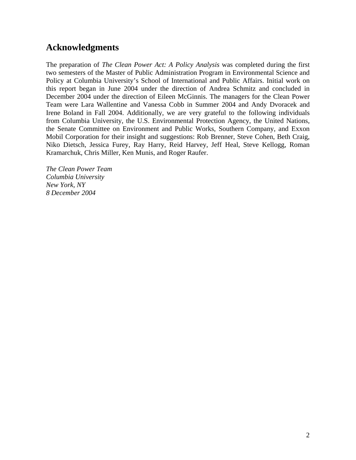### **Acknowledgments**

The preparation of *The Clean Power Act: A Policy Analysis* was completed during the first two semesters of the Master of Public Administration Program in Environmental Science and Policy at Columbia University's School of International and Public Affairs. Initial work on this report began in June 2004 under the direction of Andrea Schmitz and concluded in December 2004 under the direction of Eileen McGinnis. The managers for the Clean Power Team were Lara Wallentine and Vanessa Cobb in Summer 2004 and Andy Dvoracek and Irene Boland in Fall 2004. Additionally, we are very grateful to the following individuals from Columbia University, the U.S. Environmental Protection Agency, the United Nations, the Senate Committee on Environment and Public Works, Southern Company, and Exxon Mobil Corporation for their insight and suggestions: Rob Brenner, Steve Cohen, Beth Craig, Niko Dietsch, Jessica Furey, Ray Harry, Reid Harvey, Jeff Heal, Steve Kellogg, Roman Kramarchuk, Chris Miller, Ken Munis, and Roger Raufer.

*The Clean Power Team Columbia University New York, NY 8 December 2004*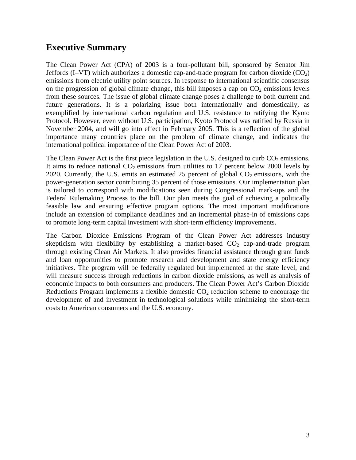## **Executive Summary**

The Clean Power Act (CPA) of 2003 is a four-pollutant bill, sponsored by Senator Jim Jeffords (I–VT) which authorizes a domestic cap-and-trade program for carbon dioxide  $(CO<sub>2</sub>)$ emissions from electric utility point sources. In response to international scientific consensus on the progression of global climate change, this bill imposes a cap on  $CO<sub>2</sub>$  emissions levels from these sources. The issue of global climate change poses a challenge to both current and future generations. It is a polarizing issue both internationally and domestically, as exemplified by international carbon regulation and U.S. resistance to ratifying the Kyoto Protocol. However, even without U.S. participation, Kyoto Protocol was ratified by Russia in November 2004, and will go into effect in February 2005. This is a reflection of the global importance many countries place on the problem of climate change, and indicates the international political importance of the Clean Power Act of 2003.

The Clean Power Act is the first piece legislation in the U.S. designed to curb  $CO<sub>2</sub>$  emissions. It aims to reduce national  $CO<sub>2</sub>$  emissions from utilities to 17 percent below 2000 levels by 2020. Currently, the U.S. emits an estimated 25 percent of global  $CO<sub>2</sub>$  emissions, with the power-generation sector contributing 35 percent of those emissions. Our implementation plan is tailored to correspond with modifications seen during Congressional mark-ups and the Federal Rulemaking Process to the bill. Our plan meets the goal of achieving a politically feasible law and ensuring effective program options. The most important modifications include an extension of compliance deadlines and an incremental phase-in of emissions caps to promote long-term capital investment with short-term efficiency improvements.

The Carbon Dioxide Emissions Program of the Clean Power Act addresses industry skepticism with flexibility by establishing a market-based  $CO<sub>2</sub>$  cap-and-trade program through existing Clean Air Markets. It also provides financial assistance through grant funds and loan opportunities to promote research and development and state energy efficiency initiatives. The program will be federally regulated but implemented at the state level, and will measure success through reductions in carbon dioxide emissions, as well as analysis of economic impacts to both consumers and producers. The Clean Power Act's Carbon Dioxide Reductions Program implements a flexible domestic  $CO<sub>2</sub>$  reduction scheme to encourage the development of and investment in technological solutions while minimizing the short-term costs to American consumers and the U.S. economy.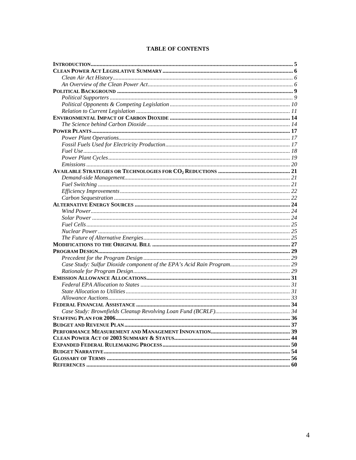#### **TABLE OF CONTENTS**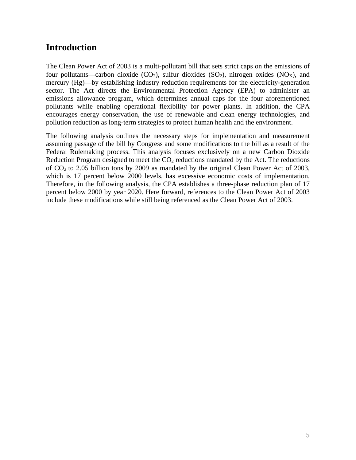### **Introduction**

The Clean Power Act of 2003 is a multi-pollutant bill that sets strict caps on the emissions of four pollutants—carbon dioxide (CO<sub>2</sub>), sulfur dioxides (SO<sub>2</sub>), nitrogen oxides (NO<sub>x</sub>), and mercury (Hg)—by establishing industry reduction requirements for the electricity-generation sector. The Act directs the Environmental Protection Agency (EPA) to administer an emissions allowance program, which determines annual caps for the four aforementioned pollutants while enabling operational flexibility for power plants. In addition, the CPA encourages energy conservation, the use of renewable and clean energy technologies, and pollution reduction as long-term strategies to protect human health and the environment.

The following analysis outlines the necessary steps for implementation and measurement assuming passage of the bill by Congress and some modifications to the bill as a result of the Federal Rulemaking process. This analysis focuses exclusively on a new Carbon Dioxide Reduction Program designed to meet the  $CO<sub>2</sub>$  reductions mandated by the Act. The reductions of  $CO<sub>2</sub>$  to 2.05 billion tons by 2009 as mandated by the original Clean Power Act of 2003, which is 17 percent below 2000 levels, has excessive economic costs of implementation. Therefore, in the following analysis, the CPA establishes a three-phase reduction plan of 17 percent below 2000 by year 2020. Here forward, references to the Clean Power Act of 2003 include these modifications while still being referenced as the Clean Power Act of 2003.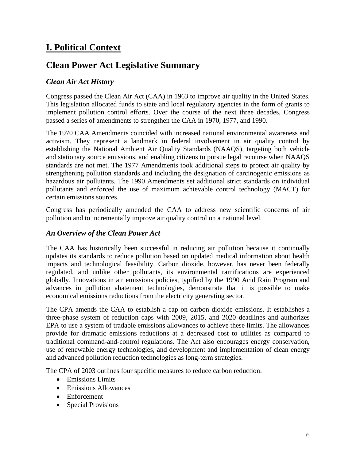## **I. Political Context**

## **Clean Power Act Legislative Summary**

#### *Clean Air Act History*

Congress passed the Clean Air Act (CAA) in 1963 to improve air quality in the United States. This legislation allocated funds to state and local regulatory agencies in the form of grants to implement pollution control efforts. Over the course of the next three decades, Congress passed a series of amendments to strengthen the CAA in 1970, 1977, and 1990.

The 1970 CAA Amendments coincided with increased national environmental awareness and activism. They represent a landmark in federal involvement in air quality control by establishing the National Ambient Air Quality Standards (NAAQS), targeting both vehicle and stationary source emissions, and enabling citizens to pursue legal recourse when NAAQS standards are not met. The 1977 Amendments took additional steps to protect air quality by strengthening pollution standards and including the designation of carcinogenic emissions as hazardous air pollutants. The 1990 Amendments set additional strict standards on individual pollutants and enforced the use of maximum achievable control technology (MACT) for certain emissions sources.

Congress has periodically amended the CAA to address new scientific concerns of air pollution and to incrementally improve air quality control on a national level.

#### *An Overview of the Clean Power Act*

The CAA has historically been successful in reducing air pollution because it continually updates its standards to reduce pollution based on updated medical information about health impacts and technological feasibility. Carbon dioxide, however, has never been federally regulated, and unlike other pollutants, its environmental ramifications are experienced globally. Innovations in air emissions policies, typified by the 1990 Acid Rain Program and advances in pollution abatement technologies, demonstrate that it is possible to make economical emissions reductions from the electricity generating sector.

The CPA amends the CAA to establish a cap on carbon dioxide emissions. It establishes a three-phase system of reduction caps with 2009, 2015, and 2020 deadlines and authorizes EPA to use a system of tradable emissions allowances to achieve these limits. The allowances provide for dramatic emissions reductions at a decreased cost to utilities as compared to traditional command-and-control regulations. The Act also encourages energy conservation, use of renewable energy technologies, and development and implementation of clean energy and advanced pollution reduction technologies as long-term strategies.

The CPA of 2003 outlines four specific measures to reduce carbon reduction:

- Emissions Limits
- Emissions Allowances
- Enforcement
- Special Provisions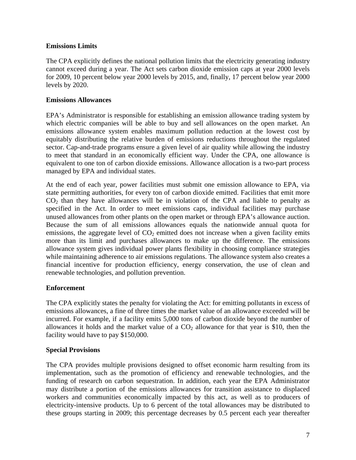#### **Emissions Limits**

The CPA explicitly defines the national pollution limits that the electricity generating industry cannot exceed during a year. The Act sets carbon dioxide emission caps at year 2000 levels for 2009, 10 percent below year 2000 levels by 2015, and, finally, 17 percent below year 2000 levels by 2020.

#### **Emissions Allowances**

EPA's Administrator is responsible for establishing an emission allowance trading system by which electric companies will be able to buy and sell allowances on the open market. An emissions allowance system enables maximum pollution reduction at the lowest cost by equitably distributing the relative burden of emissions reductions throughout the regulated sector. Cap-and-trade programs ensure a given level of air quality while allowing the industry to meet that standard in an economically efficient way. Under the CPA, one allowance is equivalent to one ton of carbon dioxide emissions. Allowance allocation is a two-part process managed by EPA and individual states.

At the end of each year, power facilities must submit one emission allowance to EPA, via state permitting authorities, for every ton of carbon dioxide emitted. Facilities that emit more  $CO<sub>2</sub>$  than they have allowances will be in violation of the CPA and liable to penalty as specified in the Act. In order to meet emissions caps, individual facilities may purchase unused allowances from other plants on the open market or through EPA's allowance auction. Because the sum of all emissions allowances equals the nationwide annual quota for emissions, the aggregate level of  $CO<sub>2</sub>$  emitted does not increase when a given facility emits more than its limit and purchases allowances to make up the difference. The emissions allowance system gives individual power plants flexibility in choosing compliance strategies while maintaining adherence to air emissions regulations. The allowance system also creates a financial incentive for production efficiency, energy conservation, the use of clean and renewable technologies, and pollution prevention.

#### **Enforcement**

The CPA explicitly states the penalty for violating the Act: for emitting pollutants in excess of emissions allowances, a fine of three times the market value of an allowance exceeded will be incurred. For example, if a facility emits 5,000 tons of carbon dioxide beyond the number of allowances it holds and the market value of a  $CO<sub>2</sub>$  allowance for that year is \$10, then the facility would have to pay \$150,000.

#### **Special Provisions**

The CPA provides multiple provisions designed to offset economic harm resulting from its implementation, such as the promotion of efficiency and renewable technologies, and the funding of research on carbon sequestration. In addition, each year the EPA Administrator may distribute a portion of the emissions allowances for transition assistance to displaced workers and communities economically impacted by this act, as well as to producers of electricity-intensive products. Up to 6 percent of the total allowances may be distributed to these groups starting in 2009; this percentage decreases by 0.5 percent each year thereafter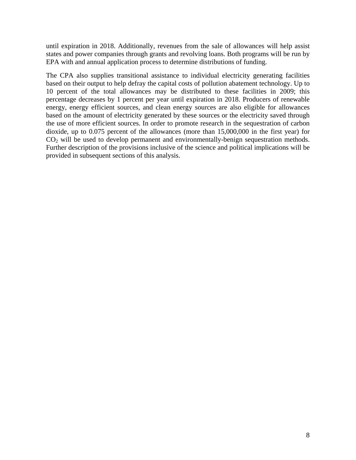until expiration in 2018. Additionally, revenues from the sale of allowances will help assist states and power companies through grants and revolving loans. Both programs will be run by EPA with and annual application process to determine distributions of funding.

The CPA also supplies transitional assistance to individual electricity generating facilities based on their output to help defray the capital costs of pollution abatement technology. Up to 10 percent of the total allowances may be distributed to these facilities in 2009; this percentage decreases by 1 percent per year until expiration in 2018. Producers of renewable energy, energy efficient sources, and clean energy sources are also eligible for allowances based on the amount of electricity generated by these sources or the electricity saved through the use of more efficient sources. In order to promote research in the sequestration of carbon dioxide, up to 0.075 percent of the allowances (more than 15,000,000 in the first year) for  $CO<sub>2</sub>$  will be used to develop permanent and environmentally-benign sequestration methods. Further description of the provisions inclusive of the science and political implications will be provided in subsequent sections of this analysis.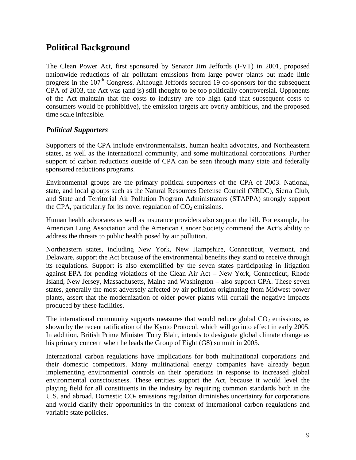## **Political Background**

The Clean Power Act, first sponsored by Senator Jim Jeffords (I-VT) in 2001, proposed nationwide reductions of air pollutant emissions from large power plants but made little progress in the  $107<sup>th</sup>$  Congress. Although Jeffords secured 19 co-sponsors for the subsequent CPA of 2003, the Act was (and is) still thought to be too politically controversial. Opponents of the Act maintain that the costs to industry are too high (and that subsequent costs to consumers would be prohibitive), the emission targets are overly ambitious, and the proposed time scale infeasible.

#### *Political Supporters*

Supporters of the CPA include environmentalists, human health advocates, and Northeastern states, as well as the international community, and some multinational corporations. Further support of carbon reductions outside of CPA can be seen through many state and federally sponsored reductions programs.

Environmental groups are the primary political supporters of the CPA of 2003. National, state, and local groups such as the Natural Resources Defense Council (NRDC), Sierra Club, and State and Territorial Air Pollution Program Administrators (STAPPA) strongly support the CPA, particularly for its novel regulation of  $CO<sub>2</sub>$  emissions.

Human health advocates as well as insurance providers also support the bill. For example, the American Lung Association and the American Cancer Society commend the Act's ability to address the threats to public health posed by air pollution.

Northeastern states, including New York, New Hampshire, Connecticut, Vermont, and Delaware, support the Act because of the environmental benefits they stand to receive through its regulations. Support is also exemplified by the seven states participating in litigation against EPA for pending violations of the Clean Air Act – New York, Connecticut, Rhode Island, New Jersey, Massachusetts, Maine and Washington – also support CPA. These seven states, generally the most adversely affected by air pollution originating from Midwest power plants, assert that the modernization of older power plants will curtail the negative impacts produced by these facilities.

The international community supports measures that would reduce global  $CO<sub>2</sub>$  emissions, as shown by the recent ratification of the Kyoto Protocol, which will go into effect in early 2005. In addition, British Prime Minister Tony Blair, intends to designate global climate change as his primary concern when he leads the Group of Eight (G8) summit in 2005.

International carbon regulations have implications for both multinational corporations and their domestic competitors. Many multinational energy companies have already begun implementing environmental controls on their operations in response to increased global environmental consciousness. These entities support the Act, because it would level the playing field for all constituents in the industry by requiring common standards both in the U.S. and abroad. Domestic  $CO<sub>2</sub>$  emissions regulation diminishes uncertainty for corporations and would clarify their opportunities in the context of international carbon regulations and variable state policies.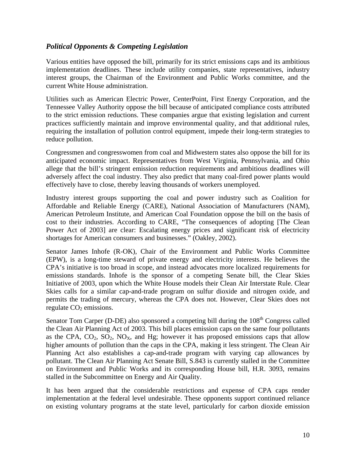#### *Political Opponents & Competing Legislation*

Various entities have opposed the bill, primarily for its strict emissions caps and its ambitious implementation deadlines. These include utility companies, state representatives, industry interest groups, the Chairman of the Environment and Public Works committee, and the current White House administration.

Utilities such as American Electric Power, CenterPoint, First Energy Corporation, and the Tennessee Valley Authority oppose the bill because of anticipated compliance costs attributed to the strict emission reductions. These companies argue that existing legislation and current practices sufficiently maintain and improve environmental quality, and that additional rules, requiring the installation of pollution control equipment, impede their long-term strategies to reduce pollution.

Congressmen and congresswomen from coal and Midwestern states also oppose the bill for its anticipated economic impact. Representatives from West Virginia, Pennsylvania, and Ohio allege that the bill's stringent emission reduction requirements and ambitious deadlines will adversely affect the coal industry. They also predict that many coal-fired power plants would effectively have to close, thereby leaving thousands of workers unemployed.

Industry interest groups supporting the coal and power industry such as Coalition for Affordable and Reliable Energy (CARE), National Association of Manufacturers (NAM), American Petroleum Institute, and American Coal Foundation oppose the bill on the basis of cost to their industries. According to CARE, "The consequences of adopting [The Clean Power Act of 2003] are clear: Escalating energy prices and significant risk of electricity shortages for American consumers and businesses." (Oakley, 2002).

Senator James Inhofe (R-OK), Chair of the Environment and Public Works Committee (EPW), is a long-time steward of private energy and electricity interests. He believes the CPA's initiative is too broad in scope, and instead advocates more localized requirements for emissions standards. Inhofe is the sponsor of a competing Senate bill, the Clear Skies Initiative of 2003, upon which the White House models their Clean Air Interstate Rule. Clear Skies calls for a similar cap-and-trade program on sulfur dioxide and nitrogen oxide, and permits the trading of mercury, whereas the CPA does not. However, Clear Skies does not regulate  $CO<sub>2</sub>$  emissions.

Senator Tom Carper (D-DE) also sponsored a competing bill during the  $108<sup>th</sup>$  Congress called the Clean Air Planning Act of 2003. This bill places emission caps on the same four pollutants as the CPA,  $CO_2$ ,  $SO_2$ ,  $NO_X$ , and Hg; however it has proposed emissions caps that allow higher amounts of pollution than the caps in the CPA, making it less stringent. The Clean Air Planning Act also establishes a cap-and-trade program with varying cap allowances by pollutant. The Clean Air Planning Act Senate Bill, S.843 is currently stalled in the Committee on Environment and Public Works and its corresponding House bill, H.R. 3093, remains stalled in the Subcommittee on Energy and Air Quality.

It has been argued that the considerable restrictions and expense of CPA caps render implementation at the federal level undesirable. These opponents support continued reliance on existing voluntary programs at the state level, particularly for carbon dioxide emission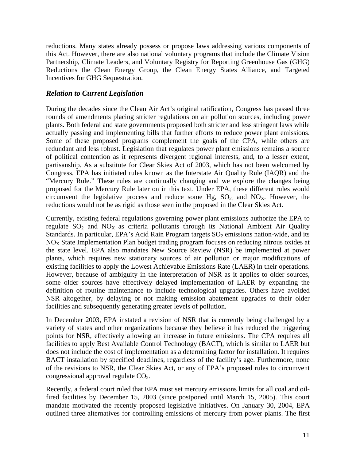reductions. Many states already possess or propose laws addressing various components of this Act. However, there are also national voluntary programs that include the Climate Vision Partnership, Climate Leaders, and Voluntary Registry for Reporting Greenhouse Gas (GHG) Reductions the Clean Energy Group, the Clean Energy States Alliance, and Targeted Incentives for GHG Sequestration.

#### *Relation to Current Legislation*

During the decades since the Clean Air Act's original ratification, Congress has passed three rounds of amendments placing stricter regulations on air pollution sources, including power plants. Both federal and state governments proposed both stricter and less stringent laws while actually passing and implementing bills that further efforts to reduce power plant emissions. Some of these proposed programs complement the goals of the CPA, while others are redundant and less robust. Legislation that regulates power plant emissions remains a source of political contention as it represents divergent regional interests, and, to a lesser extent, partisanship. As a substitute for Clear Skies Act of 2003, which has not been welcomed by Congress, EPA has initiated rules known as the Interstate Air Quality Rule (IAQR) and the "Mercury Rule." These rules are continually changing and we explore the changes being proposed for the Mercury Rule later on in this text. Under EPA, these different rules would circumvent the legislative process and reduce some Hg,  $SO_2$  and  $NO_x$ . However, the reductions would not be as rigid as those seen in the proposed in the Clear Skies Act.

Currently, existing federal regulations governing power plant emissions authorize the EPA to regulate  $SO_2$  and  $NO_X$  as criteria pollutants through its National Ambient Air Quality Standards. In particular, EPA's Acid Rain Program targets  $SO_2$  emissions nation-wide, and its  $NO<sub>X</sub>$  State Implementation Plan budget trading program focuses on reducing nitrous oxides at the state level. EPA also mandates New Source Review (NSR) be implemented at power plants, which requires new stationary sources of air pollution or major modifications of existing facilities to apply the Lowest Achievable Emissions Rate (LAER) in their operations. However, because of ambiguity in the interpretation of NSR as it applies to older sources, some older sources have effectively delayed implementation of LAER by expanding the definition of routine maintenance to include technological upgrades. Others have avoided NSR altogether, by delaying or not making emission abatement upgrades to their older facilities and subsequently generating greater levels of pollution.

In December 2003, EPA instated a revision of NSR that is currently being challenged by a variety of states and other organizations because they believe it has reduced the triggering points for NSR, effectively allowing an increase in future emissions. The CPA requires all facilities to apply Best Available Control Technology (BACT), which is similar to LAER but does not include the cost of implementation as a determining factor for installation. It requires BACT installation by specified deadlines, regardless of the facility's age. Furthermore, none of the revisions to NSR, the Clear Skies Act, or any of EPA's proposed rules to circumvent congressional approval regulate  $CO<sub>2</sub>$ .

Recently, a federal court ruled that EPA must set mercury emissions limits for all coal and oilfired facilities by December 15, 2003 (since postponed until March 15, 2005). This court mandate motivated the recently proposed legislative initiatives. On January 30, 2004, EPA outlined three alternatives for controlling emissions of mercury from power plants. The first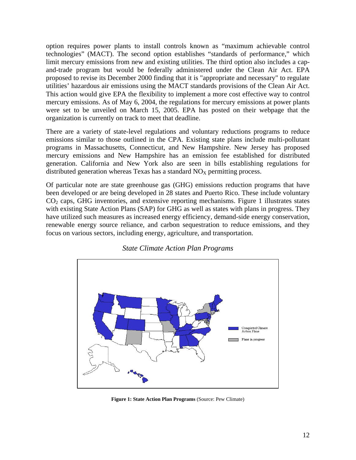option requires power plants to install controls known as "maximum achievable control technologies" (MACT). The second option establishes "standards of performance," which limit mercury emissions from new and existing utilities. The third option also includes a capand-trade program but would be federally administered under the Clean Air Act. EPA proposed to revise its December 2000 finding that it is "appropriate and necessary" to regulate utilities' hazardous air emissions using the MACT standards provisions of the Clean Air Act. This action would give EPA the flexibility to implement a more cost effective way to control mercury emissions. As of May 6, 2004, the regulations for mercury emissions at power plants were set to be unveiled on March 15, 2005. EPA has posted on their webpage that the organization is currently on track to meet that deadline.

There are a variety of state-level regulations and voluntary reductions programs to reduce emissions similar to those outlined in the CPA. Existing state plans include multi-pollutant programs in Massachusetts, Connecticut, and New Hampshire. New Jersey has proposed mercury emissions and New Hampshire has an emission fee established for distributed generation. California and New York also are seen in bills establishing regulations for distributed generation whereas Texas has a standard  $NO<sub>X</sub>$  permitting process.

Of particular note are state greenhouse gas (GHG) emissions reduction programs that have been developed or are being developed in 28 states and Puerto Rico. These include voluntary  $CO<sub>2</sub>$  caps, GHG inventories, and extensive reporting mechanisms. Figure 1 illustrates states with existing State Action Plans (SAP) for GHG as well as states with plans in progress. They have utilized such measures as increased energy efficiency, demand-side energy conservation, renewable energy source reliance, and carbon sequestration to reduce emissions, and they focus on various sectors, including energy, agriculture, and transportation.



*State Climate Action Plan Programs* 

**Figure 1: State Action Plan Programs** (Source: Pew Climate)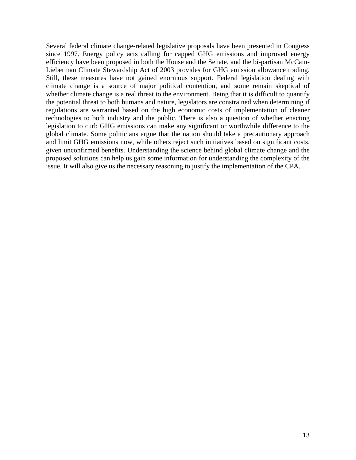Several federal climate change-related legislative proposals have been presented in Congress since 1997. Energy policy acts calling for capped GHG emissions and improved energy efficiency have been proposed in both the House and the Senate, and the bi-partisan McCain-Lieberman Climate Stewardship Act of 2003 provides for GHG emission allowance trading. Still, these measures have not gained enormous support. Federal legislation dealing with climate change is a source of major political contention, and some remain skeptical of whether climate change is a real threat to the environment. Being that it is difficult to quantify the potential threat to both humans and nature, legislators are constrained when determining if regulations are warranted based on the high economic costs of implementation of cleaner technologies to both industry and the public. There is also a question of whether enacting legislation to curb GHG emissions can make any significant or worthwhile difference to the global climate. Some politicians argue that the nation should take a precautionary approach and limit GHG emissions now, while others reject such initiatives based on significant costs, given unconfirmed benefits. Understanding the science behind global climate change and the proposed solutions can help us gain some information for understanding the complexity of the issue. It will also give us the necessary reasoning to justify the implementation of the CPA.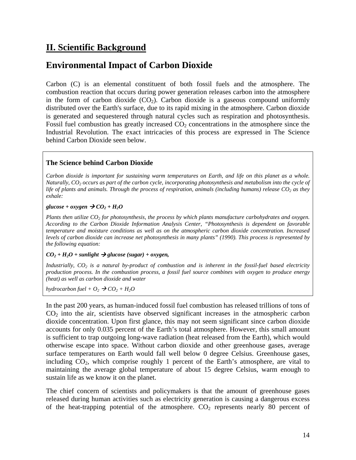## **II. Scientific Background**

## **Environmental Impact of Carbon Dioxide**

Carbon (C) is an elemental constituent of both fossil fuels and the atmosphere. The combustion reaction that occurs during power generation releases carbon into the atmosphere in the form of carbon dioxide  $(CO<sub>2</sub>)$ . Carbon dioxide is a gaseous compound uniformly distributed over the Earth's surface, due to its rapid mixing in the atmosphere. Carbon dioxide is generated and sequestered through natural cycles such as respiration and photosynthesis. Fossil fuel combustion has greatly increased  $CO<sub>2</sub>$  concentrations in the atmosphere since the Industrial Revolution. The exact intricacies of this process are expressed in The Science behind Carbon Dioxide seen below.

#### **The Science behind Carbon Dioxide**

*Carbon dioxide is important for sustaining warm temperatures on Earth, and life on this planet as a whole. Naturally, CO2 occurs as part of the carbon cycle, incorporating photosynthesis and metabolism into the cycle of life of plants and animals. Through the process of respiration, animals (including humans) release CO<sub>2</sub> as they exhale:* 

#### $glucose + oxygen \rightarrow CO<sub>2</sub> + H<sub>2</sub>O$

*Plants then utilize CO2 for photosynthesis, the process by which plants manufacture carbohydrates and oxygen. According to the Carbon Dioxide Information Analysis Center, "Photosynthesis is dependent on favorable temperature and moisture conditions as well as on the atmospheric carbon dioxide concentration. Increased levels of carbon dioxide can increase net photosynthesis in many plants" (1990). This process is represented by the following equation:* 

#### $CO<sub>2</sub> + H<sub>2</sub>O + sunlight \rightarrow glucose (sugar) + oxygen,$

*Industrially, CO<sub>2</sub> is a natural by-product of combustion and is inherent in the fossil-fuel based electricity production process. In the combustion process, a fossil fuel source combines with oxygen to produce energy (heat) as well as carbon dioxide and water* 

*hydrocarbon fuel* +  $O_2$   $\rightarrow$   $CO_2$  +  $H_2O$ 

In the past 200 years, as human-induced fossil fuel combustion has released trillions of tons of  $CO<sub>2</sub>$  into the air, scientists have observed significant increases in the atmospheric carbon dioxide concentration. Upon first glance, this may not seem significant since carbon dioxide accounts for only 0.035 percent of the Earth's total atmosphere. However, this small amount is sufficient to trap outgoing long-wave radiation (heat released from the Earth), which would otherwise escape into space. Without carbon dioxide and other greenhouse gases, average surface temperatures on Earth would fall well below 0 degree Celsius. Greenhouse gases, including  $CO<sub>2</sub>$ , which comprise roughly 1 percent of the Earth's atmosphere, are vital to maintaining the average global temperature of about 15 degree Celsius, warm enough to sustain life as we know it on the planet.

The chief concern of scientists and policymakers is that the amount of greenhouse gases released during human activities such as electricity generation is causing a dangerous excess of the heat-trapping potential of the atmosphere.  $CO<sub>2</sub>$  represents nearly 80 percent of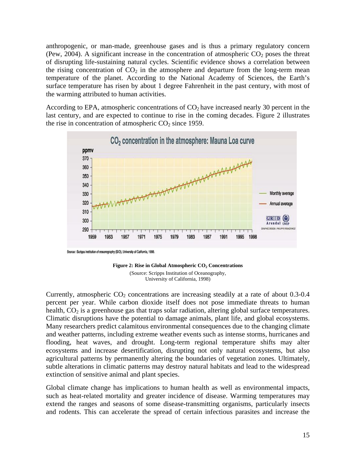anthropogenic, or man-made, greenhouse gases and is thus a primary regulatory concern (Pew, 2004). A significant increase in the concentration of atmospheric  $CO<sub>2</sub>$  poses the threat of disrupting life-sustaining natural cycles. Scientific evidence shows a correlation between the rising concentration of  $CO<sub>2</sub>$  in the atmosphere and departure from the long-term mean temperature of the planet. According to the National Academy of Sciences, the Earth's surface temperature has risen by about 1 degree Fahrenheit in the past century, with most of the warming attributed to human activities.

According to EPA, atmospheric concentrations of  $CO<sub>2</sub>$  have increased nearly 30 percent in the last century, and are expected to continue to rise in the coming decades. Figure 2 illustrates the rise in concentration of atmospheric  $CO<sub>2</sub>$  since 1959.



Source : Scripps institution of oceanography (SIO), University of California, 1998.



Currently, atmospheric  $CO<sub>2</sub>$  concentrations are increasing steadily at a rate of about 0.3-0.4 percent per year. While carbon dioxide itself does not pose immediate threats to human health,  $CO<sub>2</sub>$  is a greenhouse gas that traps solar radiation, altering global surface temperatures. Climatic disruptions have the potential to damage animals, plant life, and global ecosystems. Many researchers predict calamitous environmental consequences due to the changing climate and weather patterns, including extreme weather events such as intense storms, hurricanes and flooding, heat waves, and drought. Long-term regional temperature shifts may alter ecosystems and increase desertification, disrupting not only natural ecosystems, but also agricultural patterns by permanently altering the boundaries of vegetation zones. Ultimately, subtle alterations in climatic patterns may destroy natural habitats and lead to the widespread extinction of sensitive animal and plant species.

Global climate change has implications to human health as well as environmental impacts, such as heat-related mortality and greater incidence of disease. Warming temperatures may extend the ranges and seasons of some disease-transmitting organisms, particularly insects and rodents. This can accelerate the spread of certain infectious parasites and increase the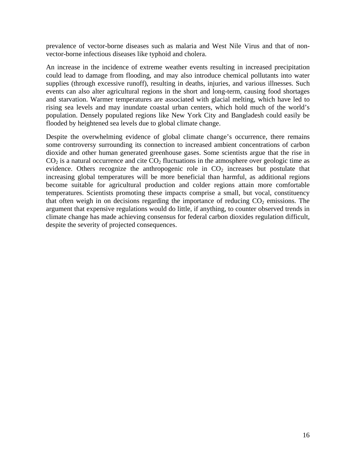prevalence of vector-borne diseases such as malaria and West Nile Virus and that of nonvector-borne infectious diseases like typhoid and cholera.

An increase in the incidence of extreme weather events resulting in increased precipitation could lead to damage from flooding, and may also introduce chemical pollutants into water supplies (through excessive runoff), resulting in deaths, injuries, and various illnesses. Such events can also alter agricultural regions in the short and long-term, causing food shortages and starvation. Warmer temperatures are associated with glacial melting, which have led to rising sea levels and may inundate coastal urban centers, which hold much of the world's population. Densely populated regions like New York City and Bangladesh could easily be flooded by heightened sea levels due to global climate change.

Despite the overwhelming evidence of global climate change's occurrence, there remains some controversy surrounding its connection to increased ambient concentrations of carbon dioxide and other human generated greenhouse gases. Some scientists argue that the rise in  $CO<sub>2</sub>$  is a natural occurrence and cite  $CO<sub>2</sub>$  fluctuations in the atmosphere over geologic time as evidence. Others recognize the anthropogenic role in  $CO<sub>2</sub>$  increases but postulate that increasing global temperatures will be more beneficial than harmful, as additional regions become suitable for agricultural production and colder regions attain more comfortable temperatures. Scientists promoting these impacts comprise a small, but vocal, constituency that often weigh in on decisions regarding the importance of reducing  $CO<sub>2</sub>$  emissions. The argument that expensive regulations would do little, if anything, to counter observed trends in climate change has made achieving consensus for federal carbon dioxides regulation difficult, despite the severity of projected consequences.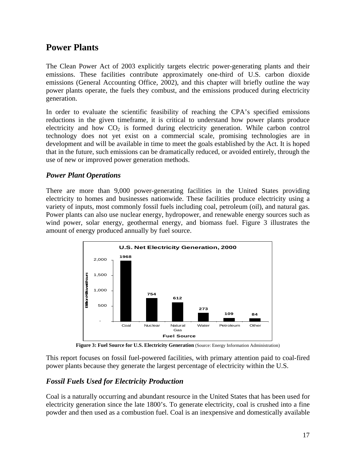## **Power Plants**

The Clean Power Act of 2003 explicitly targets electric power-generating plants and their emissions. These facilities contribute approximately one-third of U.S. carbon dioxide emissions (General Accounting Office, 2002), and this chapter will briefly outline the way power plants operate, the fuels they combust, and the emissions produced during electricity generation.

In order to evaluate the scientific feasibility of reaching the CPA's specified emissions reductions in the given timeframe, it is critical to understand how power plants produce electricity and how  $CO<sub>2</sub>$  is formed during electricity generation. While carbon control technology does not yet exist on a commercial scale, promising technologies are in development and will be available in time to meet the goals established by the Act. It is hoped that in the future, such emissions can be dramatically reduced, or avoided entirely, through the use of new or improved power generation methods.

#### *Power Plant Operations*

There are more than 9,000 power-generating facilities in the United States providing electricity to homes and businesses nationwide. These facilities produce electricity using a variety of inputs, most commonly fossil fuels including coal, petroleum (oil), and natural gas. Power plants can also use nuclear energy, hydropower, and renewable energy sources such as wind power, solar energy, geothermal energy, and biomass fuel. Figure 3 illustrates the amount of energy produced annually by fuel source.



Figure 3: Fuel Source for U.S. Electricity Generation (Source: Energy Information Administration)

This report focuses on fossil fuel-powered facilities, with primary attention paid to coal-fired power plants because they generate the largest percentage of electricity within the U.S.

#### *Fossil Fuels Used for Electricity Production*

Coal is a naturally occurring and abundant resource in the United States that has been used for electricity generation since the late 1800's. To generate electricity, coal is crushed into a fine powder and then used as a combustion fuel. Coal is an inexpensive and domestically available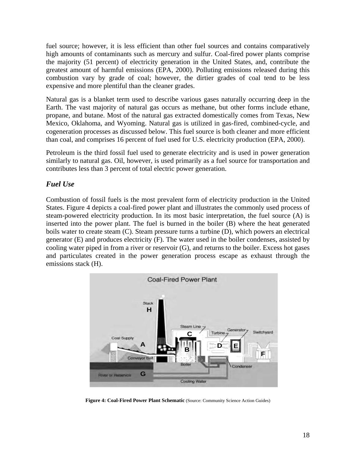fuel source; however, it is less efficient than other fuel sources and contains comparatively high amounts of contaminants such as mercury and sulfur. Coal-fired power plants comprise the majority (51 percent) of electricity generation in the United States, and, contribute the greatest amount of harmful emissions (EPA, 2000). Polluting emissions released during this combustion vary by grade of coal; however, the dirtier grades of coal tend to be less expensive and more plentiful than the cleaner grades.

Natural gas is a blanket term used to describe various gases naturally occurring deep in the Earth. The vast majority of natural gas occurs as methane, but other forms include ethane, propane, and butane. Most of the natural gas extracted domestically comes from Texas, New Mexico, Oklahoma, and Wyoming. Natural gas is utilized in gas-fired, combined-cycle, and cogeneration processes as discussed below. This fuel source is both cleaner and more efficient than coal, and comprises 16 percent of fuel used for U.S. electricity production (EPA, 2000).

Petroleum is the third fossil fuel used to generate electricity and is used in power generation similarly to natural gas. Oil, however, is used primarily as a fuel source for transportation and contributes less than 3 percent of total electric power generation.

#### *Fuel Use*

Combustion of fossil fuels is the most prevalent form of electricity production in the United States. Figure 4 depicts a coal-fired power plant and illustrates the commonly used process of steam-powered electricity production. In its most basic interpretation, the fuel source (A) is inserted into the power plant. The fuel is burned in the boiler (B) where the heat generated boils water to create steam (C). Steam pressure turns a turbine (D), which powers an electrical generator (E) and produces electricity (F). The water used in the boiler condenses, assisted by cooling water piped in from a river or reservoir (G), and returns to the boiler. Excess hot gases and particulates created in the power generation process escape as exhaust through the emissions stack (H).



**Figure 4: Coal-Fired Power Plant Schematic** (Source: Community Science Action Guides)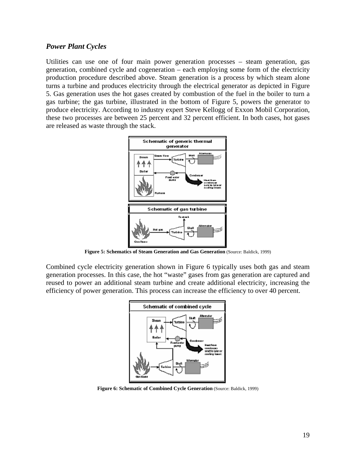#### *Power Plant Cycles*

Utilities can use one of four main power generation processes – steam generation, gas generation, combined cycle and cogeneration – each employing some form of the electricity production procedure described above. Steam generation is a process by which steam alone turns a turbine and produces electricity through the electrical generator as depicted in Figure 5. Gas generation uses the hot gases created by combustion of the fuel in the boiler to turn a gas turbine; the gas turbine, illustrated in the bottom of Figure 5, powers the generator to produce electricity. According to industry expert Steve Kellogg of Exxon Mobil Corporation, these two processes are between 25 percent and 32 percent efficient. In both cases, hot gases are released as waste through the stack.



**Figure 5: Schematics of Steam Generation and Gas Generation** (Source: Baldick, 1999)

Combined cycle electricity generation shown in Figure 6 typically uses both gas and steam generation processes. In this case, the hot "waste" gases from gas generation are captured and reused to power an additional steam turbine and create additional electricity, increasing the efficiency of power generation. This process can increase the efficiency to over 40 percent.



**Figure 6: Schematic of Combined Cycle Generation** (Source: Baldick, 1999)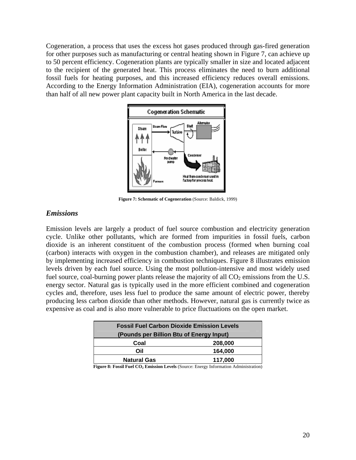Cogeneration, a process that uses the excess hot gases produced through gas-fired generation for other purposes such as manufacturing or central heating shown in Figure 7, can achieve up to 50 percent efficiency. Cogeneration plants are typically smaller in size and located adjacent to the recipient of the generated heat. This process eliminates the need to burn additional fossil fuels for heating purposes, and this increased efficiency reduces overall emissions. According to the Energy Information Administration (EIA), cogeneration accounts for more than half of all new power plant capacity built in North America in the last decade.



 **Figure 7: Schematic of Cogeneration** (Source: Baldick, 1999)

#### *Emissions*

Emission levels are largely a product of fuel source combustion and electricity generation cycle. Unlike other pollutants, which are formed from impurities in fossil fuels, carbon dioxide is an inherent constituent of the combustion process (formed when burning coal (carbon) interacts with oxygen in the combustion chamber), and releases are mitigated only by implementing increased efficiency in combustion techniques. Figure 8 illustrates emission levels driven by each fuel source. Using the most pollution-intensive and most widely used fuel source, coal-burning power plants release the majority of all  $CO<sub>2</sub>$  emissions from the U.S. energy sector. Natural gas is typically used in the more efficient combined and cogeneration cycles and, therefore, uses less fuel to produce the same amount of electric power, thereby producing less carbon dioxide than other methods. However, natural gas is currently twice as expensive as coal and is also more vulnerable to price fluctuations on the open market.

| <b>Fossil Fuel Carbon Dioxide Emission Levels</b> |         |  |  |  |
|---------------------------------------------------|---------|--|--|--|
| (Pounds per Billion Btu of Energy Input)          |         |  |  |  |
| Coal                                              | 208,000 |  |  |  |
| Oil                                               | 164.000 |  |  |  |
| <b>Natural Gas</b>                                | 117,000 |  |  |  |

Figure 8: Fossil Fuel CO<sub>2</sub> Emission Levels (Source: Energy Information Administration)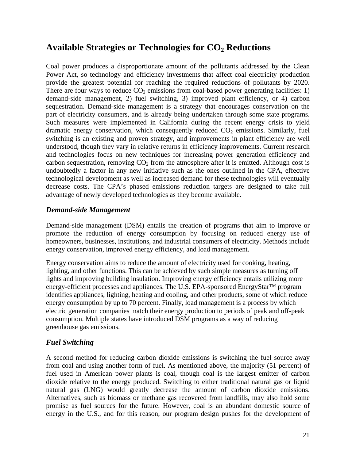### **Available Strategies or Technologies for CO2 Reductions**

Coal power produces a disproportionate amount of the pollutants addressed by the Clean Power Act, so technology and efficiency investments that affect coal electricity production provide the greatest potential for reaching the required reductions of pollutants by 2020. There are four ways to reduce  $CO<sub>2</sub>$  emissions from coal-based power generating facilities: 1) demand-side management, 2) fuel switching, 3) improved plant efficiency, or 4) carbon sequestration. Demand-side management is a strategy that encourages conservation on the part of electricity consumers, and is already being undertaken through some state programs. Such measures were implemented in California during the recent energy crisis to yield dramatic energy conservation, which consequently reduced  $CO<sub>2</sub>$  emissions. Similarly, fuel switching is an existing and proven strategy, and improvements in plant efficiency are well understood, though they vary in relative returns in efficiency improvements. Current research and technologies focus on new techniques for increasing power generation efficiency and carbon sequestration, removing  $CO<sub>2</sub>$  from the atmosphere after it is emitted. Although cost is undoubtedly a factor in any new initiative such as the ones outlined in the CPA, effective technological development as well as increased demand for these technologies will eventually decrease costs. The CPA's phased emissions reduction targets are designed to take full advantage of newly developed technologies as they become available.

#### *Demand-side Management*

Demand-side management (DSM) entails the creation of programs that aim to improve or promote the reduction of energy consumption by focusing on reduced energy use of homeowners, businesses, institutions, and industrial consumers of electricity. Methods include energy conservation, improved energy efficiency, and load management.

Energy conservation aims to reduce the amount of electricity used for cooking, heating, lighting, and other functions. This can be achieved by such simple measures as turning off lights and improving building insulation. Improving energy efficiency entails utilizing more energy-efficient processes and appliances. The U.S. EPA-sponsored EnergyStar™ program identifies appliances, lighting, heating and cooling, and other products, some of which reduce energy consumption by up to 70 percent. Finally, load management is a process by which electric generation companies match their energy production to periods of peak and off-peak consumption. Multiple states have introduced DSM programs as a way of reducing greenhouse gas emissions.

#### *Fuel Switching*

A second method for reducing carbon dioxide emissions is switching the fuel source away from coal and using another form of fuel. As mentioned above, the majority (51 percent) of fuel used in American power plants is coal, though coal is the largest emitter of carbon dioxide relative to the energy produced. Switching to either traditional natural gas or liquid natural gas (LNG) would greatly decrease the amount of carbon dioxide emissions. Alternatives, such as biomass or methane gas recovered from landfills, may also hold some promise as fuel sources for the future. However, coal is an abundant domestic source of energy in the U.S., and for this reason, our program design pushes for the development of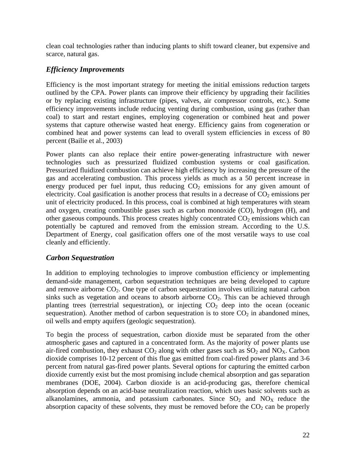clean coal technologies rather than inducing plants to shift toward cleaner, but expensive and scarce, natural gas.

#### *Efficiency Improvements*

Efficiency is the most important strategy for meeting the initial emissions reduction targets outlined by the CPA. Power plants can improve their efficiency by upgrading their facilities or by replacing existing infrastructure (pipes, valves, air compressor controls, etc.). Some efficiency improvements include reducing venting during combustion, using gas (rather than coal) to start and restart engines, employing cogeneration or combined heat and power systems that capture otherwise wasted heat energy. Efficiency gains from cogeneration or combined heat and power systems can lead to overall system efficiencies in excess of 80 percent (Bailie et al., 2003)

Power plants can also replace their entire power-generating infrastructure with newer technologies such as pressurized fluidized combustion systems or coal gasification. Pressurized fluidized combustion can achieve high efficiency by increasing the pressure of the gas and accelerating combustion. This process yields as much as a 50 percent increase in energy produced per fuel input, thus reducing  $CO<sub>2</sub>$  emissions for any given amount of electricity. Coal gasification is another process that results in a decrease of  $CO<sub>2</sub>$  emissions per unit of electricity produced. In this process, coal is combined at high temperatures with steam and oxygen, creating combustible gases such as carbon monoxide (CO), hydrogen (H), and other gaseous compounds. This process creates highly concentrated  $CO<sub>2</sub>$  emissions which can potentially be captured and removed from the emission stream. According to the U.S. Department of Energy, coal gasification offers one of the most versatile ways to use coal cleanly and efficiently.

#### *Carbon Sequestration*

In addition to employing technologies to improve combustion efficiency or implementing demand-side management, carbon sequestration techniques are being developed to capture and remove airborne  $CO<sub>2</sub>$ . One type of carbon sequestration involves utilizing natural carbon sinks such as vegetation and oceans to absorb airborne  $CO<sub>2</sub>$ . This can be achieved through planting trees (terrestrial sequestration), or injecting  $CO<sub>2</sub>$  deep into the ocean (oceanic sequestration). Another method of carbon sequestration is to store  $CO<sub>2</sub>$  in abandoned mines, oil wells and empty aquifers (geologic sequestration).

To begin the process of sequestration, carbon dioxide must be separated from the other atmospheric gases and captured in a concentrated form. As the majority of power plants use air-fired combustion, they exhaust  $CO<sub>2</sub>$  along with other gases such as  $SO<sub>2</sub>$  and  $NO<sub>X</sub>$ . Carbon dioxide comprises 10-12 percent of this flue gas emitted from coal-fired power plants and 3-6 percent from natural gas-fired power plants. Several options for capturing the emitted carbon dioxide currently exist but the most promising include chemical absorption and gas separation membranes (DOE, 2004). Carbon dioxide is an acid-producing gas, therefore chemical absorption depends on an acid-base neutralization reaction, which uses basic solvents such as alkanolamines, ammonia, and potassium carbonates. Since  $SO_2$  and  $NO_X$  reduce the absorption capacity of these solvents, they must be removed before the  $CO<sub>2</sub>$  can be properly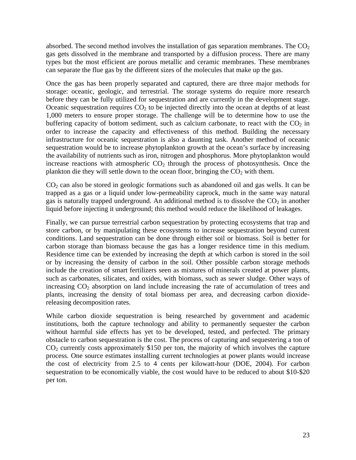absorbed. The second method involves the installation of gas separation membranes. The  $CO<sub>2</sub>$ gas gets dissolved in the membrane and transported by a diffusion process. There are many types but the most efficient are porous metallic and ceramic membranes. These membranes can separate the flue gas by the different sizes of the molecules that make up the gas.

Once the gas has been properly separated and captured, there are three major methods for storage: oceanic, geologic, and terrestrial. The storage systems do require more research before they can be fully utilized for sequestration and are currently in the development stage. Oceanic sequestration requires  $CO<sub>2</sub>$  to be injected directly into the ocean at depths of at least 1,000 meters to ensure proper storage. The challenge will be to determine how to use the buffering capacity of bottom sediment, such as calcium carbonate, to react with the  $CO<sub>2</sub>$  in order to increase the capacity and effectiveness of this method. Building the necessary infrastructure for oceanic sequestration is also a daunting task. Another method of oceanic sequestration would be to increase phytoplankton growth at the ocean's surface by increasing the availability of nutrients such as iron, nitrogen and phosphorus. More phytoplankton would increase reactions with atmospheric  $CO<sub>2</sub>$  through the process of photosynthesis. Once the plankton die they will settle down to the ocean floor, bringing the  $CO<sub>2</sub>$  with them.

 $CO<sub>2</sub>$  can also be stored in geologic formations such as abandoned oil and gas wells. It can be trapped as a gas or a liquid under low-permeability caprock, much in the same way natural gas is naturally trapped underground. An additional method is to dissolve the  $CO<sub>2</sub>$  in another liquid before injecting it underground; this method would reduce the likelihood of leakages.

Finally, we can pursue terrestrial carbon sequestration by protecting ecosystems that trap and store carbon, or by manipulating these ecosystems to increase sequestration beyond current conditions. Land sequestration can be done through either soil or biomass. Soil is better for carbon storage than biomass because the gas has a longer residence time in this medium. Residence time can be extended by increasing the depth at which carbon is stored in the soil or by increasing the density of carbon in the soil. Other possible carbon storage methods include the creation of smart fertilizers seen as mixtures of minerals created at power plants, such as carbonates, silicates, and oxides, with biomass, such as sewer sludge. Other ways of increasing  $CO<sub>2</sub>$  absorption on land include increasing the rate of accumulation of trees and plants, increasing the density of total biomass per area, and decreasing carbon dioxidereleasing decomposition rates.

While carbon dioxide sequestration is being researched by government and academic institutions, both the capture technology and ability to permanently sequester the carbon without harmful side effects has yet to be developed, tested, and perfected. The primary obstacle to carbon sequestration is the cost. The process of capturing and sequestering a ton of CO2 currently costs approximately \$150 per ton, the majority of which involves the capture process. One source estimates installing current technologies at power plants would increase the cost of electricity from 2.5 to 4 cents per kilowatt-hour (DOE, 2004). For carbon sequestration to be economically viable, the cost would have to be reduced to about \$10-\$20 per ton.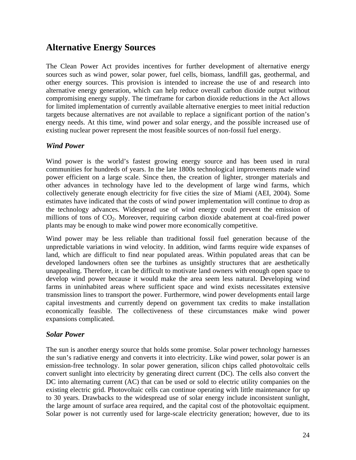## **Alternative Energy Sources**

The Clean Power Act provides incentives for further development of alternative energy sources such as wind power, solar power, fuel cells, biomass, landfill gas, geothermal, and other energy sources. This provision is intended to increase the use of and research into alternative energy generation, which can help reduce overall carbon dioxide output without compromising energy supply. The timeframe for carbon dioxide reductions in the Act allows for limited implementation of currently available alternative energies to meet initial reduction targets because alternatives are not available to replace a significant portion of the nation's energy needs. At this time, wind power and solar energy, and the possible increased use of existing nuclear power represent the most feasible sources of non-fossil fuel energy.

#### *Wind Power*

Wind power is the world's fastest growing energy source and has been used in rural communities for hundreds of years. In the late 1800s technological improvements made wind power efficient on a large scale. Since then, the creation of lighter, stronger materials and other advances in technology have led to the development of large wind farms, which collectively generate enough electricity for five cities the size of Miami (AEI, 2004). Some estimates have indicated that the costs of wind power implementation will continue to drop as the technology advances. Widespread use of wind energy could prevent the emission of millions of tons of CO<sub>2</sub>. Moreover, requiring carbon dioxide abatement at coal-fired power plants may be enough to make wind power more economically competitive.

Wind power may be less reliable than traditional fossil fuel generation because of the unpredictable variations in wind velocity. In addition, wind farms require wide expanses of land, which are difficult to find near populated areas. Within populated areas that can be developed landowners often see the turbines as unsightly structures that are aesthetically unappealing. Therefore, it can be difficult to motivate land owners with enough open space to develop wind power because it would make the area seem less natural. Developing wind farms in uninhabited areas where sufficient space and wind exists necessitates extensive transmission lines to transport the power. Furthermore, wind power developments entail large capital investments and currently depend on government tax credits to make installation economically feasible. The collectiveness of these circumstances make wind power expansions complicated.

#### *Solar Power*

The sun is another energy source that holds some promise. Solar power technology harnesses the sun's radiative energy and converts it into electricity. Like wind power, solar power is an emission-free technology. In solar power generation, silicon chips called photovoltaic cells convert sunlight into electricity by generating direct current (DC). The cells also convert the DC into alternating current (AC) that can be used or sold to electric utility companies on the existing electric grid. Photovoltaic cells can continue operating with little maintenance for up to 30 years. Drawbacks to the widespread use of solar energy include inconsistent sunlight, the large amount of surface area required, and the capital cost of the photovoltaic equipment. Solar power is not currently used for large-scale electricity generation; however, due to its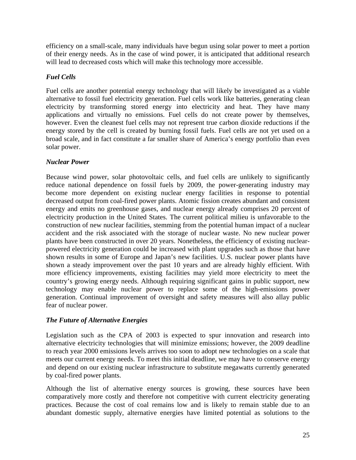efficiency on a small-scale, many individuals have begun using solar power to meet a portion of their energy needs. As in the case of wind power, it is anticipated that additional research will lead to decreased costs which will make this technology more accessible.

#### *Fuel Cells*

Fuel cells are another potential energy technology that will likely be investigated as a viable alternative to fossil fuel electricity generation. Fuel cells work like batteries, generating clean electricity by transforming stored energy into electricity and heat. They have many applications and virtually no emissions. Fuel cells do not create power by themselves, however. Even the cleanest fuel cells may not represent true carbon dioxide reductions if the energy stored by the cell is created by burning fossil fuels. Fuel cells are not yet used on a broad scale, and in fact constitute a far smaller share of America's energy portfolio than even solar power.

#### *Nuclear Power*

Because wind power, solar photovoltaic cells, and fuel cells are unlikely to significantly reduce national dependence on fossil fuels by 2009, the power-generating industry may become more dependent on existing nuclear energy facilities in response to potential decreased output from coal-fired power plants. Atomic fission creates abundant and consistent energy and emits no greenhouse gases, and nuclear energy already comprises 20 percent of electricity production in the United States. The current political milieu is unfavorable to the construction of new nuclear facilities, stemming from the potential human impact of a nuclear accident and the risk associated with the storage of nuclear waste. No new nuclear power plants have been constructed in over 20 years. Nonetheless, the efficiency of existing nuclearpowered electricity generation could be increased with plant upgrades such as those that have shown results in some of Europe and Japan's new facilities. U.S. nuclear power plants have shown a steady improvement over the past 10 years and are already highly efficient. With more efficiency improvements, existing facilities may yield more electricity to meet the country's growing energy needs. Although requiring significant gains in public support, new technology may enable nuclear power to replace some of the high-emissions power generation. Continual improvement of oversight and safety measures will also allay public fear of nuclear power.

#### *The Future of Alternative Energies*

Legislation such as the CPA of 2003 is expected to spur innovation and research into alternative electricity technologies that will minimize emissions; however, the 2009 deadline to reach year 2000 emissions levels arrives too soon to adopt new technologies on a scale that meets our current energy needs. To meet this initial deadline, we may have to conserve energy and depend on our existing nuclear infrastructure to substitute megawatts currently generated by coal-fired power plants.

Although the list of alternative energy sources is growing, these sources have been comparatively more costly and therefore not competitive with current electricity generating practices. Because the cost of coal remains low and is likely to remain stable due to an abundant domestic supply, alternative energies have limited potential as solutions to the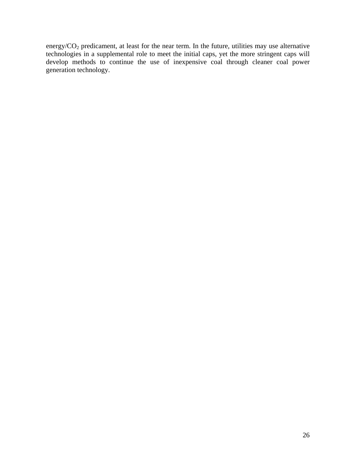energy/ $CO<sub>2</sub>$  predicament, at least for the near term. In the future, utilities may use alternative technologies in a supplemental role to meet the initial caps, yet the more stringent caps will develop methods to continue the use of inexpensive coal through cleaner coal power generation technology.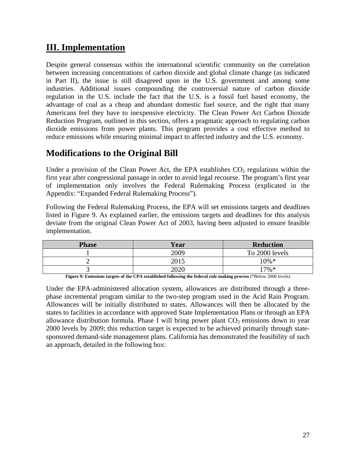## **III. Implementation**

Despite general consensus within the international scientific community on the correlation between increasing concentrations of carbon dioxide and global climate change (as indicated in Part II), the issue is still disagreed upon in the U.S. government and among some industries. Additional issues compounding the controversial nature of carbon dioxide regulation in the U.S. include the fact that the U.S. is a fossil fuel based economy, the advantage of coal as a cheap and abundant domestic fuel source, and the right that many Americans feel they have to inexpensive electricity. The Clean Power Act Carbon Dioxide Reduction Program, outlined in this section, offers a pragmatic approach to regulating carbon dioxide emissions from power plants. This program provides a cost effective method to reduce emissions while ensuring minimal impact to affected industry and the U.S. economy.

## **Modifications to the Original Bill**

Under a provision of the Clean Power Act, the EPA establishes  $CO<sub>2</sub>$  regulations within the first year after congressional passage in order to avoid legal recourse. The program's first year of implementation only involves the Federal Rulemaking Process (explicated in the Appendix: "Expanded Federal Rulemaking Process").

Following the Federal Rulemaking Process, the EPA will set emissions targets and deadlines listed in Figure 9. As explained earlier, the emissions targets and deadlines for this analysis deviate from the original Clean Power Act of 2003, having been adjusted to ensure feasible implementation.

| <b>Phase</b> | Year | <b>Reduction</b> |
|--------------|------|------------------|
|              | 2009 | To 2000 levels   |
|              | 2015 | $10\% *$         |
|              | 2020 | $17\%*$          |

**Figure 9: Emissions targets of the CPA established following the federal rule making process** (\*Below 2000 levels)

Under the EPA-administered allocation system, allowances are distributed through a threephase incremental program similar to the two-step program used in the Acid Rain Program. Allowances will be initially distributed to states. Allowances will then be allocated by the states to facilities in accordance with approved State Implementation Plans or through an EPA allowance distribution formula. Phase I will bring power plant  $CO<sub>2</sub>$  emissions down to year 2000 levels by 2009; this reduction target is expected to be achieved primarily through statesponsored demand-side management plans. California has demonstrated the feasibility of such an approach, detailed in the following box: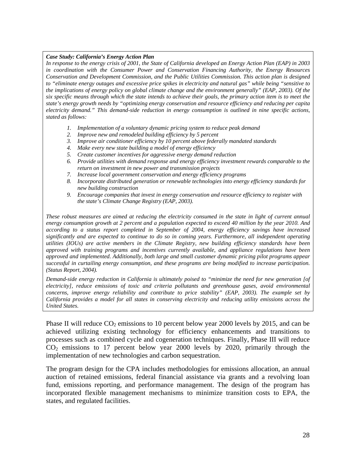#### *Case Study: California's Energy Action Plan*

*In response to the energy crisis of 2001, the State of California developed an Energy Action Plan (EAP) in 2003 in coordination with the Consumer Power and Conservation Financing Authority, the Energy Resources Conservation and Development Commission, and the Public Utilities Commission. This action plan is designed to "eliminate energy outages and excessive price spikes in electricity and natural gas" while being "sensitive to the implications of energy policy on global climate change and the environment generally" (EAP, 2003). Of the six specific means through which the state intends to achieve their goals, the primary action item is to meet the state's energy growth needs by "optimizing energy conservation and resource efficiency and reducing per capita electricity demand." This demand-side reduction in energy consumption is outlined in nine specific actions, stated as follows:* 

- *1. Implementation of a voluntary dynamic pricing system to reduce peak demand*
- *2. Improve new and remodeled building efficiency by 5 percent*
- *3. Improve air conditioner efficiency by 10 percent above federally mandated standards*
- *4. Make every new state building a model of energy efficiency*
- *5. Create customer incentives for aggressive energy demand reduction*
- *6. Provide utilities with demand response and energy efficiency investment rewards comparable to the return on investment in new power and transmission projects*
- *7. Increase local government conservation and energy efficiency programs*
- *8. Incorporate distributed generation or renewable technologies into energy efficiency standards for new building construction*
- *9. Encourage companies that invest in energy conservation and resource efficiency to register with the state's Climate Change Registry (EAP, 2003).*

*These robust measures are aimed at reducing the electricity consumed in the state in light of current annual energy consumption growth at 2 percent and a population expected to exceed 40 million by the year 2010. And according to a status report completed in September of 2004, energy efficiency savings have increased significantly and are expected to continue to do so in coming years. Furthermore, all independent operating utilities (IOUs) are active members in the Climate Registry, new building efficiency standards have been approved with training programs and incentives currently available, and appliance regulations have been approved and implemented. Additionally, both large and small customer dynamic pricing pilot programs appear successful in curtailing energy consumption, and these programs are being modified to increase participation. (Status Report, 2004).* 

*Demand-side energy reduction in California is ultimately poised to "minimize the need for new generation [of electricity], reduce emissions of toxic and criteria pollutants and greenhouse gases, avoid environmental concerns, improve energy reliability and contribute to price stability" (EAP, 2003). The example set by California provides a model for all states in conserving electricity and reducing utility emissions across the United States.* 

Phase II will reduce  $CO_2$  emissions to 10 percent below year 2000 levels by 2015, and can be achieved utilizing existing technology for efficiency enhancements and transitions to processes such as combined cycle and cogeneration techniques. Finally, Phase III will reduce  $CO<sub>2</sub>$  emissions to 17 percent below year 2000 levels by 2020, primarily through the implementation of new technologies and carbon sequestration.

The program design for the CPA includes methodologies for emissions allocation, an annual auction of retained emissions, federal financial assistance via grants and a revolving loan fund, emissions reporting, and performance management. The design of the program has incorporated flexible management mechanisms to minimize transition costs to EPA, the states, and regulated facilities.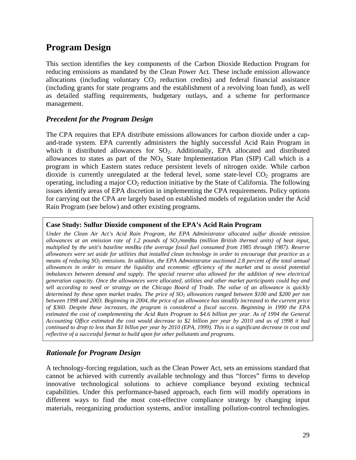## **Program Design**

This section identifies the key components of the Carbon Dioxide Reduction Program for reducing emissions as mandated by the Clean Power Act. These include emission allowance allocations (including voluntary  $CO<sub>2</sub>$  reduction credits) and federal financial assistance (including grants for state programs and the establishment of a revolving loan fund), as well as detailed staffing requirements, budgetary outlays, and a scheme for performance management.

#### *Precedent for the Program Design*

The CPA requires that EPA distribute emissions allowances for carbon dioxide under a capand-trade system. EPA currently administers the highly successful Acid Rain Program in which it distributed allowances for  $SO<sub>2</sub>$ . Additionally, EPA allocated and distributed allowances to states as part of the  $NO<sub>X</sub>$  State Implementation Plan (SIP) Call which is a program in which Eastern states reduce persistent levels of nitrogen oxide. While carbon dioxide is currently unregulated at the federal level, some state-level  $CO<sub>2</sub>$  programs are operating, including a major  $CO<sub>2</sub>$  reduction initiative by the State of California. The following issues identify areas of EPA discretion in implementing the CPA requirements. Policy options for carrying out the CPA are largely based on established models of regulation under the Acid Rain Program (see below) and other existing programs.

#### **Case Study: Sulfur Dioxide component of the EPA's Acid Rain Program**

*Under the Clean Air Act's Acid Rain Program, the EPA Administrator allocated sulfur dioxide emission*  allowances at an emission rate of 1.2 pounds of  $SO_2/mmB$ tu (million British thermal units) of heat input, *multiplied by the unit's baseline mmBtu (the average fossil fuel consumed from 1985 through 1987). Reserve allowances were set aside for utilities that installed clean technology in order to encourage that practice as a means of reducing SO<sub>2</sub> emissions. In addition, the EPA Administrator auctioned 2.8 percent of the total annual allowances in order to ensure the liquidity and economic efficiency of the market and to avoid potential imbalances between demand and supply. The special reserve also allowed for the addition of new electrical generation capacity. Once the allowances were allocated, utilities and other market participants could buy and sell according to need or strategy on the Chicago Board of Trade. The value of an allowance is quickly*  determined by these open market trades. The price of SO<sub>2</sub> allowances ranged between \$100 and \$200 per ton *between 1998 and 2003. Beginning in 2004, the price of an allowance has steadily increased to the current price of \$360. Despite these increases, the program is considered a fiscal success. Beginning in 1990 the EPA estimated the cost of complementing the Acid Rain Program to \$4.6 billion per year. As of 1994 the General Accounting Office estimated the cost would decrease to \$2 billion per year by 2010 and as of 1998 it had continued to drop to less than \$1 billon per year by 2010 (EPA, 1999). This is a significant decrease in cost and reflective of a successful format to build upon for other pollutants and programs.* 

#### *Rationale for Program Design*

A technology-forcing regulation, such as the Clean Power Act, sets an emissions standard that cannot be achieved with currently available technology and thus "forces" firms to develop innovative technological solutions to achieve compliance beyond existing technical capabilities. Under this performance-based approach, each firm will modify operations in different ways to find the most cost-effective compliance strategy by changing input materials, reorganizing production systems, and/or installing pollution-control technologies.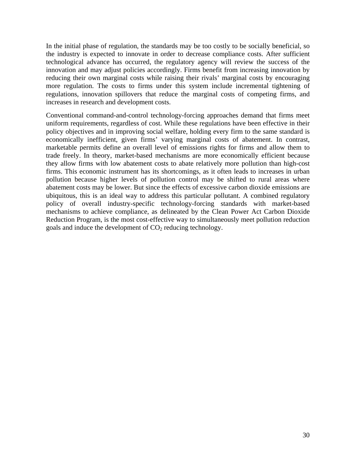In the initial phase of regulation, the standards may be too costly to be socially beneficial, so the industry is expected to innovate in order to decrease compliance costs. After sufficient technological advance has occurred, the regulatory agency will review the success of the innovation and may adjust policies accordingly. Firms benefit from increasing innovation by reducing their own marginal costs while raising their rivals' marginal costs by encouraging more regulation. The costs to firms under this system include incremental tightening of regulations, innovation spillovers that reduce the marginal costs of competing firms, and increases in research and development costs.

Conventional command-and-control technology-forcing approaches demand that firms meet uniform requirements, regardless of cost. While these regulations have been effective in their policy objectives and in improving social welfare, holding every firm to the same standard is economically inefficient, given firms' varying marginal costs of abatement. In contrast, marketable permits define an overall level of emissions rights for firms and allow them to trade freely. In theory, market-based mechanisms are more economically efficient because they allow firms with low abatement costs to abate relatively more pollution than high-cost firms. This economic instrument has its shortcomings, as it often leads to increases in urban pollution because higher levels of pollution control may be shifted to rural areas where abatement costs may be lower. But since the effects of excessive carbon dioxide emissions are ubiquitous, this is an ideal way to address this particular pollutant. A combined regulatory policy of overall industry-specific technology-forcing standards with market-based mechanisms to achieve compliance, as delineated by the Clean Power Act Carbon Dioxide Reduction Program, is the most cost-effective way to simultaneously meet pollution reduction goals and induce the development of  $CO<sub>2</sub>$  reducing technology.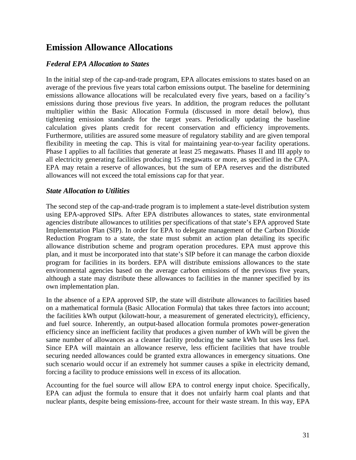## **Emission Allowance Allocations**

#### *Federal EPA Allocation to States*

In the initial step of the cap-and-trade program, EPA allocates emissions to states based on an average of the previous five years total carbon emissions output. The baseline for determining emissions allowance allocations will be recalculated every five years, based on a facility's emissions during those previous five years. In addition, the program reduces the pollutant multiplier within the Basic Allocation Formula (discussed in more detail below), thus tightening emission standards for the target years. Periodically updating the baseline calculation gives plants credit for recent conservation and efficiency improvements. Furthermore, utilities are assured some measure of regulatory stability and are given temporal flexibility in meeting the cap. This is vital for maintaining year-to-year facility operations. Phase I applies to all facilities that generate at least 25 megawatts. Phases II and III apply to all electricity generating facilities producing 15 megawatts or more, as specified in the CPA. EPA may retain a reserve of allowances, but the sum of EPA reserves and the distributed allowances will not exceed the total emissions cap for that year.

#### *State Allocation to Utilities*

The second step of the cap-and-trade program is to implement a state-level distribution system using EPA-approved SIPs. After EPA distributes allowances to states, state environmental agencies distribute allowances to utilities per specifications of that state's EPA approved State Implementation Plan (SIP). In order for EPA to delegate management of the Carbon Dioxide Reduction Program to a state, the state must submit an action plan detailing its specific allowance distribution scheme and program operation procedures. EPA must approve this plan, and it must be incorporated into that state's SIP before it can manage the carbon dioxide program for facilities in its borders. EPA will distribute emissions allowances to the state environmental agencies based on the average carbon emissions of the previous five years, although a state may distribute these allowances to facilities in the manner specified by its own implementation plan.

In the absence of a EPA approved SIP, the state will distribute allowances to facilities based on a mathematical formula (Basic Allocation Formula) that takes three factors into account; the facilities kWh output (kilowatt-hour, a measurement of generated electricity), efficiency, and fuel source. Inherently, an output-based allocation formula promotes power-generation efficiency since an inefficient facility that produces a given number of kWh will be given the same number of allowances as a cleaner facility producing the same kWh but uses less fuel. Since EPA will maintain an allowance reserve, less efficient facilities that have trouble securing needed allowances could be granted extra allowances in emergency situations. One such scenario would occur if an extremely hot summer causes a spike in electricity demand, forcing a facility to produce emissions well in excess of its allocation.

Accounting for the fuel source will allow EPA to control energy input choice. Specifically, EPA can adjust the formula to ensure that it does not unfairly harm coal plants and that nuclear plants, despite being emissions-free, account for their waste stream. In this way, EPA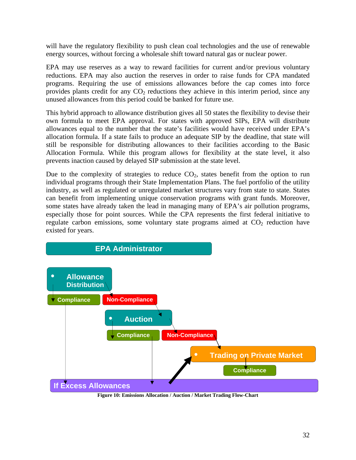will have the regulatory flexibility to push clean coal technologies and the use of renewable energy sources, without forcing a wholesale shift toward natural gas or nuclear power.

EPA may use reserves as a way to reward facilities for current and/or previous voluntary reductions. EPA may also auction the reserves in order to raise funds for CPA mandated programs. Requiring the use of emissions allowances before the cap comes into force provides plants credit for any  $CO<sub>2</sub>$  reductions they achieve in this interim period, since any unused allowances from this period could be banked for future use.

This hybrid approach to allowance distribution gives all 50 states the flexibility to devise their own formula to meet EPA approval. For states with approved SIPs, EPA will distribute allowances equal to the number that the state's facilities would have received under EPA's allocation formula. If a state fails to produce an adequate SIP by the deadline, that state will still be responsible for distributing allowances to their facilities according to the Basic Allocation Formula. While this program allows for flexibility at the state level, it also prevents inaction caused by delayed SIP submission at the state level.

Due to the complexity of strategies to reduce  $CO<sub>2</sub>$ , states benefit from the option to run individual programs through their State Implementation Plans. The fuel portfolio of the utility industry, as well as regulated or unregulated market structures vary from state to state. States can benefit from implementing unique conservation programs with grant funds. Moreover, some states have already taken the lead in managing many of EPA's air pollution programs, especially those for point sources. While the CPA represents the first federal initiative to regulate carbon emissions, some voluntary state programs aimed at  $CO<sub>2</sub>$  reduction have existed for years.



**Figure 10: Emissions Allocation / Auction / Market Trading Flow-Chart**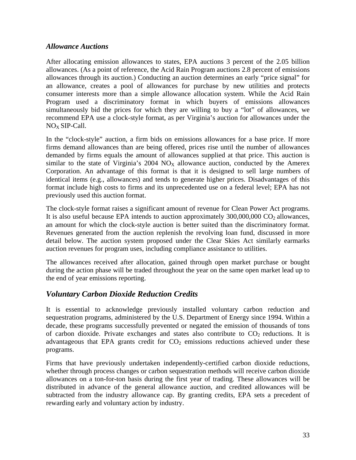#### *Allowance Auctions*

After allocating emission allowances to states, EPA auctions 3 percent of the 2.05 billion allowances. (As a point of reference, the Acid Rain Program auctions 2.8 percent of emissions allowances through its auction.) Conducting an auction determines an early "price signal" for an allowance, creates a pool of allowances for purchase by new utilities and protects consumer interests more than a simple allowance allocation system. While the Acid Rain Program used a discriminatory format in which buyers of emissions allowances simultaneously bid the prices for which they are willing to buy a "lot" of allowances, we recommend EPA use a clock-style format, as per Virginia's auction for allowances under the  $NO<sub>X</sub>$  SIP-Call.

In the "clock-style" auction, a firm bids on emissions allowances for a base price. If more firms demand allowances than are being offered, prices rise until the number of allowances demanded by firms equals the amount of allowances supplied at that price. This auction is similar to the state of Virginia's  $2004 \text{ NO}_X$  allowance auction, conducted by the Amerex Corporation. An advantage of this format is that it is designed to sell large numbers of identical items (e.g., allowances) and tends to generate higher prices. Disadvantages of this format include high costs to firms and its unprecedented use on a federal level; EPA has not previously used this auction format.

The clock-style format raises a significant amount of revenue for Clean Power Act programs. It is also useful because EPA intends to auction approximately  $300,000,000$  CO<sub>2</sub> allowances, an amount for which the clock-style auction is better suited than the discriminatory format. Revenues generated from the auction replenish the revolving loan fund, discussed in more detail below. The auction system proposed under the Clear Skies Act similarly earmarks auction revenues for program uses, including compliance assistance to utilities.

The allowances received after allocation, gained through open market purchase or bought during the action phase will be traded throughout the year on the same open market lead up to the end of year emissions reporting.

#### *Voluntary Carbon Dioxide Reduction Credits*

It is essential to acknowledge previously installed voluntary carbon reduction and sequestration programs, administered by the U.S. Department of Energy since 1994. Within a decade, these programs successfully prevented or negated the emission of thousands of tons of carbon dioxide. Private exchanges and states also contribute to  $CO<sub>2</sub>$  reductions. It is advantageous that EPA grants credit for  $CO<sub>2</sub>$  emissions reductions achieved under these programs.

Firms that have previously undertaken independently-certified carbon dioxide reductions, whether through process changes or carbon sequestration methods will receive carbon dioxide allowances on a ton-for-ton basis during the first year of trading. These allowances will be distributed in advance of the general allowance auction, and credited allowances will be subtracted from the industry allowance cap. By granting credits, EPA sets a precedent of rewarding early and voluntary action by industry.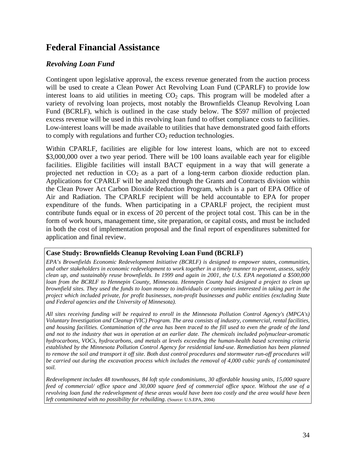### **Federal Financial Assistance**

#### *Revolving Loan Fund*

Contingent upon legislative approval, the excess revenue generated from the auction process will be used to create a Clean Power Act Revolving Loan Fund (CPARLF) to provide low interest loans to aid utilities in meeting  $CO<sub>2</sub>$  caps. This program will be modeled after a variety of revolving loan projects, most notably the Brownfields Cleanup Revolving Loan Fund (BCRLF), which is outlined in the case study below. The \$597 million of projected excess revenue will be used in this revolving loan fund to offset compliance costs to facilities. Low-interest loans will be made available to utilities that have demonstrated good faith efforts to comply with regulations and further  $CO<sub>2</sub>$  reduction technologies.

Within CPARLF, facilities are eligible for low interest loans, which are not to exceed \$3,000,000 over a two year period. There will be 100 loans available each year for eligible facilities. Eligible facilities will install BACT equipment in a way that will generate a projected net reduction in  $CO<sub>2</sub>$  as a part of a long-term carbon dioxide reduction plan. Applications for CPARLF will be analyzed through the Grants and Contracts division within the Clean Power Act Carbon Dioxide Reduction Program, which is a part of EPA Office of Air and Radiation. The CPARLF recipient will be held accountable to EPA for proper expenditure of the funds. When participating in a CPARLF project, the recipient must contribute funds equal or in excess of 20 percent of the project total cost. This can be in the form of work hours, management time, site preparation, or capital costs, and must be included in both the cost of implementation proposal and the final report of expenditures submitted for application and final review.

#### **Case Study: Brownfields Cleanup Revolving Loan Fund (BCRLF)**

*EPA's Brownfields Economic Redevelopment Initiative (BCRLF) is designed to empower states, communities, and other stakeholders in economic redevelopment to work together in a timely manner to prevent, assess, safely clean up, and sustainably reuse brownfields. In 1999 and again in 2001, the U.S. EPA negotiated a \$500,000 loan from the BCRLF to Hennepin County, Minnesota. Hennepin County had designed a project to clean up brownfield sites. They used the funds to loan money to individuals or companies interested in taking part in the project which included private, for profit businesses, non-profit businesses and public entities (excluding State and Federal agencies and the University of Minnesota).* 

*All sites receiving funding will be required to enroll in the Minnesota Pollution Control Agency's (MPCA's) Voluntary Investigation and Cleanup (VIC) Program. The area consists of industry, commercial, rental facilities, and housing facilities. Contamination of the area has been traced to the fill used to even the grade of the land and not to the industry that was in operation at an earlier date. The chemicals included polynuclear-aromatic hydrocarbons, VOCs, hydrocarbons, and metals at levels exceeding the human-health based screening criteria established by the Minnesota Pollution Control Agency for residential land-use. Remediation has been planned*  to remove the soil and transport it off site. Both dust control procedures and stormwater run-off procedures will *be carried out during the excavation process which includes the removal of 4,000 cubic yards of contaminated soil.* 

*Redevelopment includes 48 townhouses, 84 loft style condominiums, 30 affordable housing units, 15,000 square feed of commercial/ office space and 30,000 square feed of commercial office space. Without the use of a revolving loan fund the redevelopment of these areas would have been too costly and the area would have been left contaminated with no possibility for rebuilding.* (Source: U.S.EPA, 2004)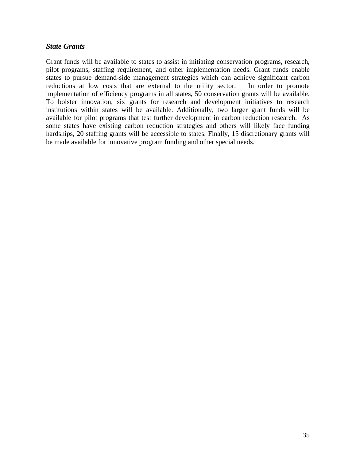#### *State Grants*

Grant funds will be available to states to assist in initiating conservation programs, research, pilot programs, staffing requirement, and other implementation needs. Grant funds enable states to pursue demand-side management strategies which can achieve significant carbon reductions at low costs that are external to the utility sector. In order to promote implementation of efficiency programs in all states, 50 conservation grants will be available. To bolster innovation, six grants for research and development initiatives to research institutions within states will be available. Additionally, two larger grant funds will be available for pilot programs that test further development in carbon reduction research. As some states have existing carbon reduction strategies and others will likely face funding hardships, 20 staffing grants will be accessible to states. Finally, 15 discretionary grants will be made available for innovative program funding and other special needs.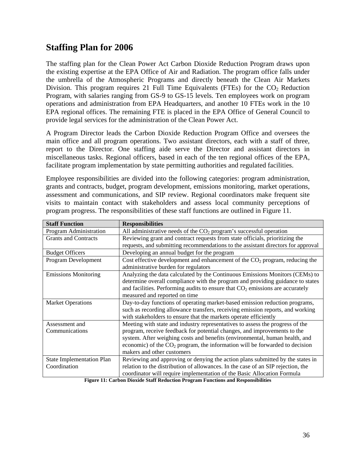## **Staffing Plan for 2006**

The staffing plan for the Clean Power Act Carbon Dioxide Reduction Program draws upon the existing expertise at the EPA Office of Air and Radiation. The program office falls under the umbrella of the Atmospheric Programs and directly beneath the Clean Air Markets Division. This program requires 21 Full Time Equivalents (FTEs) for the  $CO<sub>2</sub>$  Reduction Program, with salaries ranging from GS-9 to GS-15 levels. Ten employees work on program operations and administration from EPA Headquarters, and another 10 FTEs work in the 10 EPA regional offices. The remaining FTE is placed in the EPA Office of General Council to provide legal services for the administration of the Clean Power Act.

A Program Director leads the Carbon Dioxide Reduction Program Office and oversees the main office and all program operations. Two assistant directors, each with a staff of three, report to the Director. One staffing aide serve the Director and assistant directors in miscellaneous tasks. Regional officers, based in each of the ten regional offices of the EPA, facilitate program implementation by state permitting authorities and regulated facilities.

Employee responsibilities are divided into the following categories: program administration, grants and contracts, budget, program development, emissions monitoring, market operations, assessment and communications, and SIP review. Regional coordinators make frequent site visits to maintain contact with stakeholders and assess local community perceptions of program progress. The responsibilities of these staff functions are outlined in Figure 11.

| <b>Staff Function</b>            | <b>Responsibilities</b>                                                          |
|----------------------------------|----------------------------------------------------------------------------------|
| Program Administration           | All administrative needs of the $CO2$ program's successful operation             |
| <b>Grants and Contracts</b>      | Reviewing grant and contract requests from state officials, prioritizing the     |
|                                  | requests, and submitting recommendations to the assistant directors for approval |
| <b>Budget Officers</b>           | Developing an annual budget for the program                                      |
| Program Development              | Cost effective development and enhancement of the $CO2$ program, reducing the    |
|                                  | administrative burden for regulators                                             |
| <b>Emissions Monitoring</b>      | Analyzing the data calculated by the Continuous Emissions Monitors (CEMs) to     |
|                                  | determine overall compliance with the program and providing guidance to states   |
|                                  | and facilities. Performing audits to ensure that $CO2$ emissions are accurately  |
|                                  | measured and reported on time                                                    |
| <b>Market Operations</b>         | Day-to-day functions of operating market-based emission reduction programs,      |
|                                  | such as recording allowance transfers, receiving emission reports, and working   |
|                                  | with stakeholders to ensure that the markets operate efficiently                 |
| Assessment and                   | Meeting with state and industry representatives to assess the progress of the    |
| Communications                   | program, receive feedback for potential changes, and improvements to the         |
|                                  | system. After weighing costs and benefits (environmental, human health, and      |
|                                  | economic) of the $CO2$ program, the information will be forwarded to decision    |
|                                  | makers and other customers                                                       |
| <b>State Implementation Plan</b> | Reviewing and approving or denying the action plans submitted by the states in   |
| Coordination                     | relation to the distribution of allowances. In the case of an SIP rejection, the |
|                                  | coordinator will require implementation of the Basic Allocation Formula          |

**Figure 11: Carbon Dioxide Staff Reduction Program Functions and Responsibilities**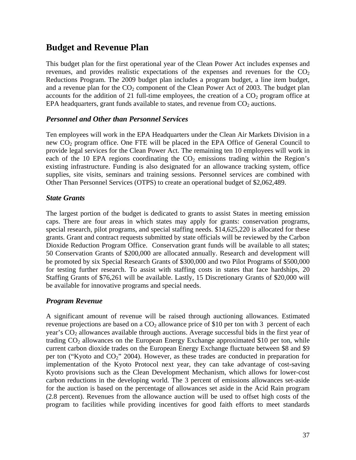### **Budget and Revenue Plan**

This budget plan for the first operational year of the Clean Power Act includes expenses and revenues, and provides realistic expectations of the expenses and revenues for the  $CO<sub>2</sub>$ Reductions Program. The 2009 budget plan includes a program budget, a line item budget, and a revenue plan for the  $CO<sub>2</sub>$  component of the Clean Power Act of 2003. The budget plan accounts for the addition of 21 full-time employees, the creation of a  $CO<sub>2</sub>$  program office at EPA headquarters, grant funds available to states, and revenue from  $CO<sub>2</sub>$  auctions.

#### *Personnel and Other than Personnel Services*

Ten employees will work in the EPA Headquarters under the Clean Air Markets Division in a new  $CO<sub>2</sub>$  program office. One FTE will be placed in the EPA Office of General Council to provide legal services for the Clean Power Act. The remaining ten 10 employees will work in each of the 10 EPA regions coordinating the  $CO<sub>2</sub>$  emissions trading within the Region's existing infrastructure. Funding is also designated for an allowance tracking system, office supplies, site visits, seminars and training sessions. Personnel services are combined with Other Than Personnel Services (OTPS) to create an operational budget of \$2,062,489.

#### *State Grants*

The largest portion of the budget is dedicated to grants to assist States in meeting emission caps. There are four areas in which states may apply for grants: conservation programs, special research, pilot programs, and special staffing needs. \$14,625,220 is allocated for these grants. Grant and contract requests submitted by state officials will be reviewed by the Carbon Dioxide Reduction Program Office. Conservation grant funds will be available to all states; 50 Conservation Grants of \$200,000 are allocated annually. Research and development will be promoted by six Special Research Grants of \$300,000 and two Pilot Programs of \$500,000 for testing further research. To assist with staffing costs in states that face hardships, 20 Staffing Grants of \$76,261 will be available. Lastly, 15 Discretionary Grants of \$20,000 will be available for innovative programs and special needs.

#### *Program Revenue*

A significant amount of revenue will be raised through auctioning allowances. Estimated revenue projections are based on a  $CO<sub>2</sub>$  allowance price of \$10 per ton with 3 percent of each year's  $CO<sub>2</sub>$  allowances available through auctions. Average successful bids in the first year of trading  $CO<sub>2</sub>$  allowances on the European Energy Exchange approximated \$10 per ton, while current carbon dioxide trades on the European Energy Exchange fluctuate between \$8 and \$9 per ton ("Kyoto and  $CO<sub>2</sub>$ " 2004). However, as these trades are conducted in preparation for implementation of the Kyoto Protocol next year, they can take advantage of cost-saving Kyoto provisions such as the Clean Development Mechanism, which allows for lower-cost carbon reductions in the developing world. The 3 percent of emissions allowances set-aside for the auction is based on the percentage of allowances set aside in the Acid Rain program (2.8 percent). Revenues from the allowance auction will be used to offset high costs of the program to facilities while providing incentives for good faith efforts to meet standards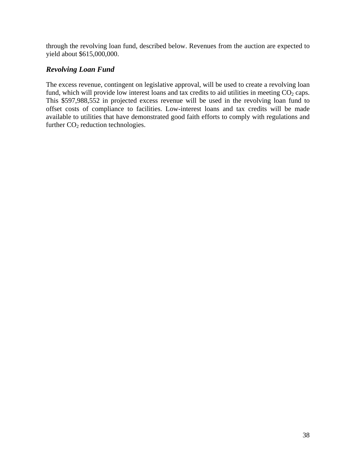through the revolving loan fund, described below. Revenues from the auction are expected to yield about \$615,000,000.

#### *Revolving Loan Fund*

The excess revenue, contingent on legislative approval, will be used to create a revolving loan fund, which will provide low interest loans and tax credits to aid utilities in meeting  $CO<sub>2</sub>$  caps. This \$597,988,552 in projected excess revenue will be used in the revolving loan fund to offset costs of compliance to facilities. Low-interest loans and tax credits will be made available to utilities that have demonstrated good faith efforts to comply with regulations and further  $CO<sub>2</sub>$  reduction technologies.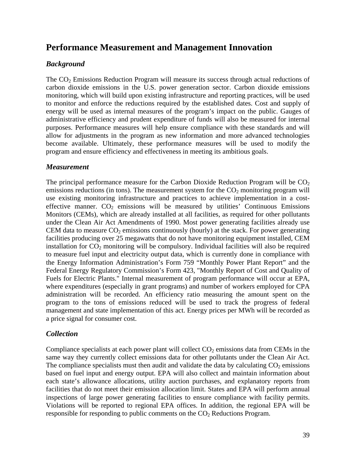### **Performance Measurement and Management Innovation**

#### *Background*

The  $CO<sub>2</sub>$  Emissions Reduction Program will measure its success through actual reductions of carbon dioxide emissions in the U.S. power generation sector. Carbon dioxide emissions monitoring, which will build upon existing infrastructure and reporting practices, will be used to monitor and enforce the reductions required by the established dates. Cost and supply of energy will be used as internal measures of the program's impact on the public. Gauges of administrative efficiency and prudent expenditure of funds will also be measured for internal purposes. Performance measures will help ensure compliance with these standards and will allow for adjustments in the program as new information and more advanced technologies become available. Ultimately, these performance measures will be used to modify the program and ensure efficiency and effectiveness in meeting its ambitious goals.

#### *Measurement*

The principal performance measure for the Carbon Dioxide Reduction Program will be  $CO<sub>2</sub>$ emissions reductions (in tons). The measurement system for the  $CO<sub>2</sub>$  monitoring program will use existing monitoring infrastructure and practices to achieve implementation in a costeffective manner.  $CO<sub>2</sub>$  emissions will be measured by utilities' Continuous Emissions Monitors (CEMs), which are already installed at all facilities, as required for other pollutants under the Clean Air Act Amendments of 1990. Most power generating facilities already use CEM data to measure  $CO<sub>2</sub>$  emissions continuously (hourly) at the stack. For power generating facilities producing over 25 megawatts that do not have monitoring equipment installed, CEM installation for  $CO<sub>2</sub>$  monitoring will be compulsory. Individual facilities will also be required to measure fuel input and electricity output data, which is currently done in compliance with the Energy Information Administration's Form 759 "Monthly Power Plant Report" and the Federal Energy Regulatory Commission's Form 423, "Monthly Report of Cost and Quality of Fuels for Electric Plants." Internal measurement of program performance will occur at EPA, where expenditures (especially in grant programs) and number of workers employed for CPA administration will be recorded. An efficiency ratio measuring the amount spent on the program to the tons of emissions reduced will be used to track the progress of federal management and state implementation of this act. Energy prices per MWh will be recorded as a price signal for consumer cost.

#### *Collection*

Compliance specialists at each power plant will collect  $CO<sub>2</sub>$  emissions data from CEMs in the same way they currently collect emissions data for other pollutants under the Clean Air Act. The compliance specialists must then audit and validate the data by calculating  $CO<sub>2</sub>$  emissions based on fuel input and energy output. EPA will also collect and maintain information about each state's allowance allocations, utility auction purchases, and explanatory reports from facilities that do not meet their emission allocation limit. States and EPA will perform annual inspections of large power generating facilities to ensure compliance with facility permits. Violations will be reported to regional EPA offices. In addition, the regional EPA will be responsible for responding to public comments on the  $CO<sub>2</sub>$  Reductions Program.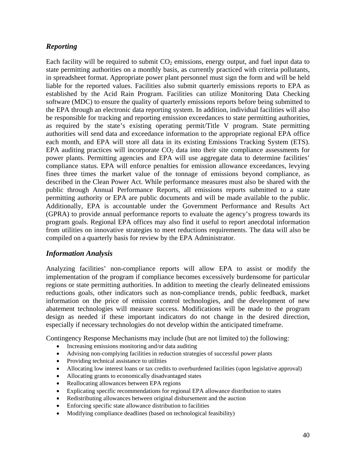#### *Reporting*

Each facility will be required to submit  $CO<sub>2</sub>$  emissions, energy output, and fuel input data to state permitting authorities on a monthly basis, as currently practiced with criteria pollutants, in spreadsheet format. Appropriate power plant personnel must sign the form and will be held liable for the reported values. Facilities also submit quarterly emissions reports to EPA as established by the Acid Rain Program. Facilities can utilize Monitoring Data Checking software (MDC) to ensure the quality of quarterly emissions reports before being submitted to the EPA through an electronic data reporting system. In addition, individual facilities will also be responsible for tracking and reporting emission exceedances to state permitting authorities, as required by the state's existing operating permit/Title V program. State permitting authorities will send data and exceedance information to the appropriate regional EPA office each month, and EPA will store all data in its existing Emissions Tracking System (ETS). EPA auditing practices will incorporate  $CO<sub>2</sub>$  data into their site compliance assessments for power plants. Permitting agencies and EPA will use aggregate data to determine facilities' compliance status. EPA will enforce penalties for emission allowance exceedances, levying fines three times the market value of the tonnage of emissions beyond compliance, as described in the Clean Power Act. While performance measures must also be shared with the public through Annual Performance Reports, all emissions reports submitted to a state permitting authority or EPA are public documents and will be made available to the public. Additionally, EPA is accountable under the Government Performance and Results Act (GPRA) to provide annual performance reports to evaluate the agency's progress towards its program goals. Regional EPA offices may also find it useful to report anecdotal information from utilities on innovative strategies to meet reductions requirements. The data will also be compiled on a quarterly basis for review by the EPA Administrator.

#### *Information Analysis*

Analyzing facilities' non-compliance reports will allow EPA to assist or modify the implementation of the program if compliance becomes excessively burdensome for particular regions or state permitting authorities. In addition to meeting the clearly delineated emissions reductions goals, other indicators such as non-compliance trends, public feedback, market information on the price of emission control technologies, and the development of new abatement technologies will measure success. Modifications will be made to the program design as needed if these important indicators do not change in the desired direction, especially if necessary technologies do not develop within the anticipated timeframe.

Contingency Response Mechanisms may include (but are not limited to) the following:

- Increasing emissions monitoring and/or data auditing
- Advising non-complying facilities in reduction strategies of successful power plants
- Providing technical assistance to utilities
- Allocating low interest loans or tax credits to overburdened facilities (upon legislative approval)
- Allocating grants to economically disadvantaged states
- Reallocating allowances between EPA regions
- Explicating specific recommendations for regional EPA allowance distribution to states
- Redistributing allowances between original disbursement and the auction
- Enforcing specific state allowance distribution to facilities
- Modifying compliance deadlines (based on technological feasibility)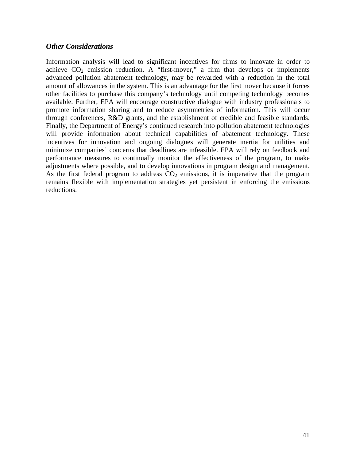#### *Other Considerations*

Information analysis will lead to significant incentives for firms to innovate in order to achieve  $CO_2$  emission reduction. A "first-mover," a firm that develops or implements advanced pollution abatement technology, may be rewarded with a reduction in the total amount of allowances in the system. This is an advantage for the first mover because it forces other facilities to purchase this company's technology until competing technology becomes available. Further, EPA will encourage constructive dialogue with industry professionals to promote information sharing and to reduce asymmetries of information. This will occur through conferences, R&D grants, and the establishment of credible and feasible standards. Finally, the Department of Energy's continued research into pollution abatement technologies will provide information about technical capabilities of abatement technology. These incentives for innovation and ongoing dialogues will generate inertia for utilities and minimize companies' concerns that deadlines are infeasible. EPA will rely on feedback and performance measures to continually monitor the effectiveness of the program, to make adjustments where possible, and to develop innovations in program design and management. As the first federal program to address  $CO<sub>2</sub>$  emissions, it is imperative that the program remains flexible with implementation strategies yet persistent in enforcing the emissions reductions.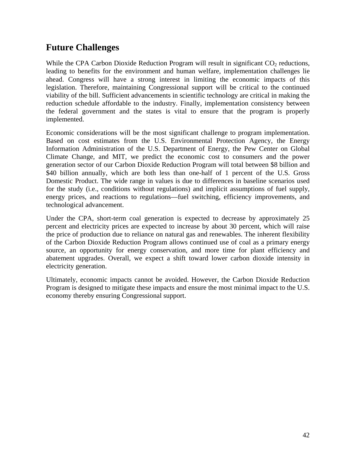### **Future Challenges**

While the CPA Carbon Dioxide Reduction Program will result in significant  $CO<sub>2</sub>$  reductions, leading to benefits for the environment and human welfare, implementation challenges lie ahead. Congress will have a strong interest in limiting the economic impacts of this legislation. Therefore, maintaining Congressional support will be critical to the continued viability of the bill. Sufficient advancements in scientific technology are critical in making the reduction schedule affordable to the industry. Finally, implementation consistency between the federal government and the states is vital to ensure that the program is properly implemented.

Economic considerations will be the most significant challenge to program implementation. Based on cost estimates from the U.S. Environmental Protection Agency, the Energy Information Administration of the U.S. Department of Energy, the Pew Center on Global Climate Change, and MIT, we predict the economic cost to consumers and the power generation sector of our Carbon Dioxide Reduction Program will total between \$8 billion and \$40 billion annually, which are both less than one-half of 1 percent of the U.S. Gross Domestic Product. The wide range in values is due to differences in baseline scenarios used for the study (i.e., conditions without regulations) and implicit assumptions of fuel supply, energy prices, and reactions to regulations—fuel switching, efficiency improvements, and technological advancement.

Under the CPA, short-term coal generation is expected to decrease by approximately 25 percent and electricity prices are expected to increase by about 30 percent, which will raise the price of production due to reliance on natural gas and renewables. The inherent flexibility of the Carbon Dioxide Reduction Program allows continued use of coal as a primary energy source, an opportunity for energy conservation, and more time for plant efficiency and abatement upgrades. Overall, we expect a shift toward lower carbon dioxide intensity in electricity generation.

Ultimately, economic impacts cannot be avoided. However, the Carbon Dioxide Reduction Program is designed to mitigate these impacts and ensure the most minimal impact to the U.S. economy thereby ensuring Congressional support.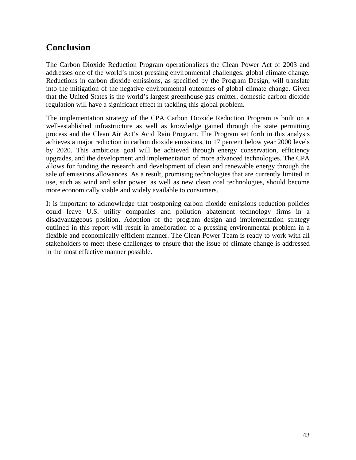## **Conclusion**

The Carbon Dioxide Reduction Program operationalizes the Clean Power Act of 2003 and addresses one of the world's most pressing environmental challenges: global climate change. Reductions in carbon dioxide emissions, as specified by the Program Design, will translate into the mitigation of the negative environmental outcomes of global climate change. Given that the United States is the world's largest greenhouse gas emitter, domestic carbon dioxide regulation will have a significant effect in tackling this global problem.

The implementation strategy of the CPA Carbon Dioxide Reduction Program is built on a well-established infrastructure as well as knowledge gained through the state permitting process and the Clean Air Act's Acid Rain Program. The Program set forth in this analysis achieves a major reduction in carbon dioxide emissions, to 17 percent below year 2000 levels by 2020. This ambitious goal will be achieved through energy conservation, efficiency upgrades, and the development and implementation of more advanced technologies. The CPA allows for funding the research and development of clean and renewable energy through the sale of emissions allowances. As a result, promising technologies that are currently limited in use, such as wind and solar power, as well as new clean coal technologies, should become more economically viable and widely available to consumers.

It is important to acknowledge that postponing carbon dioxide emissions reduction policies could leave U.S. utility companies and pollution abatement technology firms in a disadvantageous position. Adoption of the program design and implementation strategy outlined in this report will result in amelioration of a pressing environmental problem in a flexible and economically efficient manner. The Clean Power Team is ready to work with all stakeholders to meet these challenges to ensure that the issue of climate change is addressed in the most effective manner possible.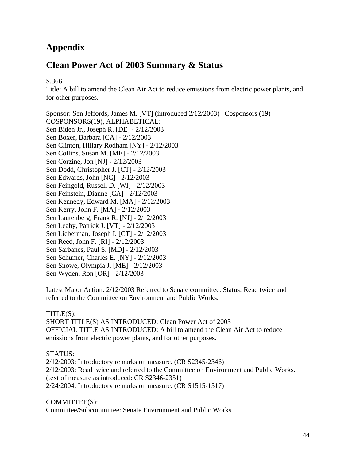## **Appendix**

## **Clean Power Act of 2003 Summary & Status**

S.366

Title: A bill to amend the Clean Air Act to reduce emissions from electric power plants, and for other purposes.

Sponsor: Sen Jeffords, James M. [VT] (introduced 2/12/2003) Cosponsors (19) COSPONSORS(19), ALPHABETICAL: Sen Biden Jr., Joseph R. [DE] - 2/12/2003 Sen Boxer, Barbara [CA] - 2/12/2003 Sen Clinton, Hillary Rodham [NY] - 2/12/2003 Sen Collins, Susan M. [ME] - 2/12/2003 Sen Corzine, Jon [NJ] - 2/12/2003 Sen Dodd, Christopher J. [CT] - 2/12/2003 Sen Edwards, John [NC] - 2/12/2003 Sen Feingold, Russell D. [WI] - 2/12/2003 Sen Feinstein, Dianne [CA] - 2/12/2003 Sen Kennedy, Edward M. [MA] - 2/12/2003 Sen Kerry, John F. [MA] - 2/12/2003 Sen Lautenberg, Frank R. [NJ] - 2/12/2003 Sen Leahy, Patrick J. [VT] - 2/12/2003 Sen Lieberman, Joseph I. [CT] - 2/12/2003 Sen Reed, John F. [RI] - 2/12/2003 Sen Sarbanes, Paul S. [MD] - 2/12/2003 Sen Schumer, Charles E. [NY] - 2/12/2003 Sen Snowe, Olympia J. [ME] - 2/12/2003 Sen Wyden, Ron [OR] - 2/12/2003

Latest Major Action: 2/12/2003 Referred to Senate committee. Status: Read twice and referred to the Committee on Environment and Public Works.

#### TITLE(S):

SHORT TITLE(S) AS INTRODUCED: Clean Power Act of 2003 OFFICIAL TITLE AS INTRODUCED: A bill to amend the Clean Air Act to reduce emissions from electric power plants, and for other purposes.

#### STATUS:

2/12/2003: Introductory remarks on measure. (CR S2345-2346) 2/12/2003: Read twice and referred to the Committee on Environment and Public Works. (text of measure as introduced: CR S2346-2351) 2/24/2004: Introductory remarks on measure. (CR S1515-1517)

COMMITTEE(S):

Committee/Subcommittee: Senate Environment and Public Works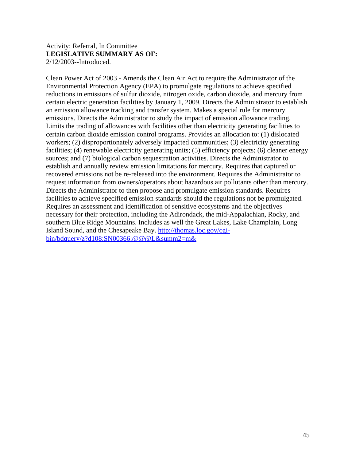#### Activity: Referral, In Committee **LEGISLATIVE SUMMARY AS OF:** 2/12/2003--Introduced.

Clean Power Act of 2003 - Amends the Clean Air Act to require the Administrator of the Environmental Protection Agency (EPA) to promulgate regulations to achieve specified reductions in emissions of sulfur dioxide, nitrogen oxide, carbon dioxide, and mercury from certain electric generation facilities by January 1, 2009. Directs the Administrator to establish an emission allowance tracking and transfer system. Makes a special rule for mercury emissions. Directs the Administrator to study the impact of emission allowance trading. Limits the trading of allowances with facilities other than electricity generating facilities to certain carbon dioxide emission control programs. Provides an allocation to: (1) dislocated workers; (2) disproportionately adversely impacted communities; (3) electricity generating facilities; (4) renewable electricity generating units; (5) efficiency projects; (6) cleaner energy sources; and (7) biological carbon sequestration activities. Directs the Administrator to establish and annually review emission limitations for mercury. Requires that captured or recovered emissions not be re-released into the environment. Requires the Administrator to request information from owners/operators about hazardous air pollutants other than mercury. Directs the Administrator to then propose and promulgate emission standards. Requires facilities to achieve specified emission standards should the regulations not be promulgated. Requires an assessment and identification of sensitive ecosystems and the objectives necessary for their protection, including the Adirondack, the mid-Appalachian, Rocky, and southern Blue Ridge Mountains. Includes as well the Great Lakes, Lake Champlain, Long Island Sound, and the Chesapeake Bay. http://thomas.loc.gov/cgibin/bdquery/z?d108:SN00366:@@@L&summ2=m&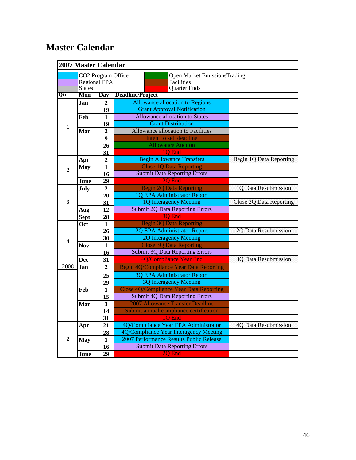## **Master Calendar**

|                  | <b>2007 Master Calendar</b>                         |                         |                                                                                 |                                |  |  |  |  |
|------------------|-----------------------------------------------------|-------------------------|---------------------------------------------------------------------------------|--------------------------------|--|--|--|--|
|                  | CO2 Program Office<br>Regional EPA<br><b>States</b> |                         | <b>Open Market EmissionsTrading</b><br><b>Facilities</b><br><b>Quarter Ends</b> |                                |  |  |  |  |
| Qtr              | Mon                                                 | Day                     | Deadline/Project                                                                |                                |  |  |  |  |
|                  | .Ian                                                | $\overline{2}$          | <b>Allowance allocation to Regions</b>                                          |                                |  |  |  |  |
|                  |                                                     | 19                      | <b>Grant Approval Notification</b>                                              |                                |  |  |  |  |
|                  | Feb                                                 | 1                       | <b>Allowance allocation to States</b>                                           |                                |  |  |  |  |
| $\mathbf{1}$     |                                                     | 19                      | <b>Grant Distribution</b>                                                       |                                |  |  |  |  |
|                  | Mar                                                 | $\overline{2}$          | Allowance allocation to Facilities                                              |                                |  |  |  |  |
|                  |                                                     | $\boldsymbol{9}$        | Intent to sell deadline                                                         |                                |  |  |  |  |
|                  |                                                     | 26                      | <b>Allowance Auction</b>                                                        |                                |  |  |  |  |
|                  |                                                     | 31                      | 1Q End                                                                          |                                |  |  |  |  |
|                  | <b>Apr</b>                                          | $\overline{2}$          | <b>Begin Allowance Transfers</b>                                                | <b>Begin 1Q Data Reporting</b> |  |  |  |  |
| $\mathbf{2}$     | <b>May</b>                                          | $\mathbf{1}$            | <b>Close 1Q Data Reporting</b>                                                  |                                |  |  |  |  |
|                  |                                                     | 16                      | <b>Submit Data Reporting Errors</b>                                             |                                |  |  |  |  |
|                  | June                                                | 29                      | 2Q End                                                                          |                                |  |  |  |  |
|                  | <b>July</b>                                         | $\mathbf{2}$            | <b>Begin 2Q Data Reporting</b>                                                  | 1Q Data Resubmission           |  |  |  |  |
|                  |                                                     | 20                      | 1Q EPA Administrator Report                                                     |                                |  |  |  |  |
| $\mathbf{3}$     |                                                     | 31                      | 1Q Interagency Meeting                                                          | <b>Close 2Q Data Reporting</b> |  |  |  |  |
|                  | Aug                                                 | 12                      | <b>Submit 2Q Data Reporting Errors</b>                                          |                                |  |  |  |  |
|                  | <b>Sept</b>                                         | 28                      | 3Q End                                                                          |                                |  |  |  |  |
|                  | Oct                                                 | 1                       | <b>Begin 3Q Data Reporting</b>                                                  |                                |  |  |  |  |
|                  |                                                     | 26                      | 2Q EPA Administrator Report                                                     | 2Q Data Resubmission           |  |  |  |  |
| 4                |                                                     | 30                      | 2Q Interagency Meeting                                                          |                                |  |  |  |  |
|                  | Nov                                                 | 1                       | <b>Close 3Q Data Reporting</b>                                                  |                                |  |  |  |  |
|                  |                                                     | 16                      | <b>Submit 3Q Data Reporting Errors</b>                                          |                                |  |  |  |  |
|                  | <b>Dec</b>                                          | 31                      | 4Q/Compliance Year End                                                          | <b>3Q Data Resubmission</b>    |  |  |  |  |
| 2008             | Jan                                                 | $\mathbf{2}$            | Begin 4Q/Compliance Year Data Reporting                                         |                                |  |  |  |  |
|                  |                                                     | 25                      | <b>3Q EPA Administrator Report</b>                                              |                                |  |  |  |  |
|                  |                                                     | 29                      | <b>3Q Interagency Meeting</b>                                                   |                                |  |  |  |  |
|                  | Feb                                                 | $\mathbf{1}$            | <b>Close 4Q/Compliance Year Data Reporting</b>                                  |                                |  |  |  |  |
| $\mathbf{1}$     |                                                     | 15                      | <b>Submit 4Q Data Reporting Errors</b>                                          |                                |  |  |  |  |
|                  | Mar                                                 | $\overline{\mathbf{3}}$ | 2007 Allowance Transfer Deadline                                                |                                |  |  |  |  |
|                  |                                                     | 14                      | Submit annual compliance certification                                          |                                |  |  |  |  |
|                  |                                                     | 31                      | 1Q End                                                                          |                                |  |  |  |  |
|                  | Apr                                                 | 21                      | 4Q/Compliance Year EPA Administrator<br>4Q Data Resubmission                    |                                |  |  |  |  |
|                  |                                                     | 28                      | 4Q/Compliance Year Interagency Meeting                                          |                                |  |  |  |  |
| $\boldsymbol{2}$ | May                                                 | $\mathbf{1}$            | 2007 Performance Results Public Release                                         |                                |  |  |  |  |
|                  |                                                     | 16                      | <b>Submit Data Reporting Errors</b>                                             |                                |  |  |  |  |
|                  | June                                                | 29                      | 2Q End                                                                          |                                |  |  |  |  |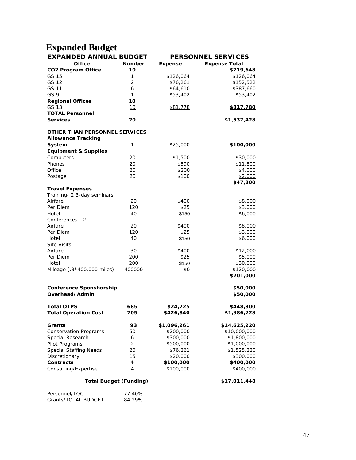# **Expanded Budget**

| <b>EXPANDED ANNUAL BUDGET</b>   |                | <b>PERSONNEL SERVICES</b> |                      |  |  |  |
|---------------------------------|----------------|---------------------------|----------------------|--|--|--|
| <b>Office</b>                   | <b>Number</b>  | <b>Expense</b>            | <b>Expense Total</b> |  |  |  |
| <b>CO2 Program Office</b>       | 10             |                           | \$719,648            |  |  |  |
| GS 15                           | 1              | \$126,064                 | \$126,064            |  |  |  |
| GS 12                           | $\overline{2}$ | \$76,261                  | \$152,522            |  |  |  |
| GS 11                           | 6              | \$64,610                  | \$387,660            |  |  |  |
| GS 9                            | 1              | \$53,402                  | \$53,402             |  |  |  |
| <b>Regional Offices</b>         | 10             |                           |                      |  |  |  |
| GS 13                           | 10             | \$81,778                  | <u>\$817,780</u>     |  |  |  |
| <b>TOTAL Personnel</b>          |                |                           |                      |  |  |  |
| <b>Services</b>                 | 20             |                           | \$1,537,428          |  |  |  |
| OTHER THAN PERSONNEL SERVICES   |                |                           |                      |  |  |  |
| <b>Allowance Tracking</b>       |                |                           |                      |  |  |  |
| System                          | 1              | \$25,000                  | \$100,000            |  |  |  |
| <b>Equipment &amp; Supplies</b> |                |                           |                      |  |  |  |
| Computers                       | 20             | \$1,500                   | \$30,000             |  |  |  |
| Phones                          | 20             | \$590                     | \$11,800             |  |  |  |
| Office                          | 20             | \$200                     | \$4,000              |  |  |  |
| Postage                         | 20             | \$100                     | \$2,000              |  |  |  |
|                                 |                |                           | \$47,800             |  |  |  |
| <b>Travel Expenses</b>          |                |                           |                      |  |  |  |
| Training- 2 3-day seminars      |                |                           |                      |  |  |  |
| Airfare                         | 20             | \$400                     | \$8,000              |  |  |  |
| Per Diem                        | 120            | \$25                      | \$3,000              |  |  |  |
| Hotel                           | 40             | \$150                     | \$6,000              |  |  |  |
| Conferences - 2                 |                |                           |                      |  |  |  |
| Airfare                         | 20             | \$400                     | \$8,000              |  |  |  |
| Per Diem                        | 120            | \$25                      | \$3,000              |  |  |  |
| Hotel                           | 40             | \$150                     | \$6,000              |  |  |  |
| <b>Site Visits</b>              |                |                           |                      |  |  |  |
| Airfare                         | 30             | \$400                     | \$12,000             |  |  |  |
| Per Diem                        | 200            | \$25                      | \$5,000              |  |  |  |
| Hotel                           | 200            | \$150                     | \$30,000             |  |  |  |
| Mileage (.3*400,000 miles)      | 400000         | \$0                       | \$120,000            |  |  |  |
|                                 |                |                           | \$201,000            |  |  |  |
| <b>Conference Sponshorship</b>  |                |                           | \$50,000             |  |  |  |
| Overhead/Admin                  |                |                           | \$50,000             |  |  |  |
| <b>Total OTPS</b>               | 685            | \$24,725                  | \$448,800            |  |  |  |
| <b>Total Operation Cost</b>     | 705            | \$426,840                 | \$1,986,228          |  |  |  |
| Grants                          | 93             | \$1,096,261               | \$14,625,220         |  |  |  |
| <b>Conservation Programs</b>    | 50             | \$200,000                 | \$10,000,000         |  |  |  |
| Special Research                | 6              | \$300,000                 | \$1,800,000          |  |  |  |
| Pilot Programs                  | 2              | \$500,000                 | \$1,000,000          |  |  |  |
| <b>Special Staffing Needs</b>   | 20             | \$76,261                  | \$1,525,220          |  |  |  |
| Discretionary                   | 15             | \$20,000                  | \$300,000            |  |  |  |
| Contracts                       | 4              | \$100,000                 | \$400,000            |  |  |  |
| Consulting/Expertise            | 4              | \$100,000                 | \$400,000            |  |  |  |
|                                 |                |                           |                      |  |  |  |
| <b>Total Budget (Funding)</b>   |                |                           | \$17,011,448         |  |  |  |
| Personnel/TOC                   | 77.40%         |                           |                      |  |  |  |

Grants/TOTAL BUDGET 84.29%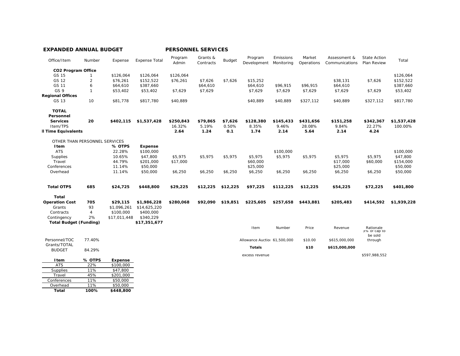| Office/Item                   | Number         | Expense      | <b>Expense Total</b> | Program<br>Admin | Grants &<br>Contracts | Budget   | Program<br>Development       | Emissions<br>Monitorina | Market<br>Operations | Assessment &<br>Communications | <b>State Action</b><br>Plan Review | Total       |
|-------------------------------|----------------|--------------|----------------------|------------------|-----------------------|----------|------------------------------|-------------------------|----------------------|--------------------------------|------------------------------------|-------------|
| <b>CO2 Program Office</b>     |                |              |                      |                  |                       |          |                              |                         |                      |                                |                                    |             |
| GS 15                         |                | \$126,064    | \$126,064            | \$126,064        |                       |          |                              |                         |                      |                                |                                    | \$126,064   |
| GS 12                         | $\overline{2}$ | \$76,261     | \$152,522            | \$76,261         | \$7,626               | \$7,626  | \$15,252                     |                         |                      | \$38,131                       | \$7,626                            | \$152,522   |
| GS 11                         | 6              | \$64,610     | \$387,660            |                  | \$64,610              |          | \$64,610                     | \$96,915                | \$96,915             | \$64,610                       |                                    | \$387,660   |
| GS 9                          | $\mathbf{1}$   | \$53,402     | \$53,402             | \$7,629          | \$7,629               |          | \$7,629                      | \$7,629                 | \$7,629              | \$7,629                        | \$7,629                            | \$53,402    |
| <b>Regional Offices</b>       |                |              |                      |                  |                       |          |                              |                         |                      |                                |                                    |             |
| GS 13                         | 10             | \$81,778     | \$817,780            | \$40,889         |                       |          | \$40,889                     | \$40,889                | \$327,112            | \$40,889                       | \$327,112                          | \$817,780   |
| <b>TOTAL</b>                  |                |              |                      |                  |                       |          |                              |                         |                      |                                |                                    |             |
| Personnel                     |                |              |                      |                  |                       |          |                              |                         |                      |                                |                                    |             |
| <b>Services</b>               | 20             | \$402,115    | \$1,537,428          | \$250,843        | \$79,865              | \$7,626  | \$128,380                    | \$145,433               | \$431,656            | \$151,258                      | \$342,367                          | \$1,537,428 |
| Item/TPS                      |                |              |                      | 16.32%           | 5.19%                 | 0.50%    | 8.35%                        | 9.46%                   | 28.08%               | 9.84%                          | 22.27%                             | 100.00%     |
| Il Time Equivalents           |                |              |                      | 2.64             | 1.24                  | 0.1      | 1.74                         | 2.14                    | 5.64                 | 2.14                           | 4.24                               |             |
| OTHER THAN PERSONNEL SERVICES |                |              |                      |                  |                       |          |                              |                         |                      |                                |                                    |             |
| Item                          |                | % OTPS       | <b>Expense</b>       |                  |                       |          |                              |                         |                      |                                |                                    |             |
| <b>ATS</b>                    |                | 22.28%       | \$100,000            |                  |                       |          |                              | \$100,000               |                      |                                |                                    | \$100,000   |
| Supplies                      |                | 10.65%       | \$47.800             | \$5,975          | \$5,975               | \$5.975  | \$5.975                      | \$5,975                 | \$5,975              | \$5.975                        | \$5.975                            | \$47,800    |
| Travel                        |                | 44.79%       | \$201,000            | \$17,000         |                       |          | \$60,000                     |                         |                      | \$17,000                       | \$60,000                           | \$154,000   |
| Conferences                   |                | 11.14%       | \$50,000             |                  |                       |          | \$25,000                     |                         |                      | \$25,000                       |                                    | \$50,000    |
| Overhead                      |                | 11.14%       | \$50,000             | \$6,250          | \$6,250               | \$6,250  | \$6,250                      | \$6,250                 | \$6,250              | \$6,250                        | \$6,250                            | \$50,000    |
| <b>Total OTPS</b>             | 685            | \$24,725     | \$448,800            | \$29,225         | \$12,225              | \$12,225 | \$97,225                     | \$112,225               | \$12,225             | \$54,225                       | \$72,225                           | \$401,800   |
| Total                         |                |              |                      |                  |                       |          |                              |                         |                      |                                |                                    |             |
| <b>Operation Cost</b>         | 705            | \$29,115     | \$1,986,228          | \$280,068        | \$92,090              | \$19,851 | \$225,605                    | \$257.658               | \$443,881            | \$205,483                      | \$414,592                          | \$1,939,228 |
| Grants                        | 93             | \$1,096,261  | \$14,625,220         |                  |                       |          |                              |                         |                      |                                |                                    |             |
| Contracts                     | $\overline{4}$ | \$100,000    | \$400,000            |                  |                       |          |                              |                         |                      |                                |                                    |             |
| Contingency                   | 2%             | \$17.011.448 | \$340,229            |                  |                       |          |                              |                         |                      |                                |                                    |             |
| <b>Total Budget (Funding)</b> |                |              | \$17,351,677         |                  |                       |          |                              |                         |                      |                                |                                    |             |
|                               |                |              |                      |                  |                       |          | Item                         | Number                  | Price                | Revenue                        | Rationale<br>3% or cap to          |             |
| Personnel/TOC                 | 77.40%         |              |                      |                  |                       |          | Allowance Auctior 61,500,000 |                         | \$10.00              | \$615,000,000                  | be sold<br>through                 |             |
| Grants/TOTAL                  |                |              |                      |                  |                       |          |                              |                         |                      |                                |                                    |             |
| <b>BUDGET</b>                 | 84.29%         |              |                      |                  |                       |          | <b>Totals</b>                |                         | \$10                 | \$615,000,000                  |                                    |             |
|                               |                |              |                      |                  |                       |          | excess revenue               |                         |                      |                                | \$597,988,552                      |             |
| Item<br><b>ATS</b>            | % OTPS         | Expense      |                      |                  |                       |          |                              |                         |                      |                                |                                    |             |
|                               | 22%            | \$100,000    |                      |                  |                       |          |                              |                         |                      |                                |                                    |             |
| Supplies                      | 11%            | \$47,800     |                      |                  |                       |          |                              |                         |                      |                                |                                    |             |
| Travel                        | 45%            | \$201,000    |                      |                  |                       |          |                              |                         |                      |                                |                                    |             |
| Conferences                   | 11%            | \$50,000     |                      |                  |                       |          |                              |                         |                      |                                |                                    |             |
| Overhead                      | 11%            | \$50,000     |                      |                  |                       |          |                              |                         |                      |                                |                                    |             |

**Total 100% \$448,800**

**EXPANDED ANNUAL BUDGET PERSONNEL SERVICES**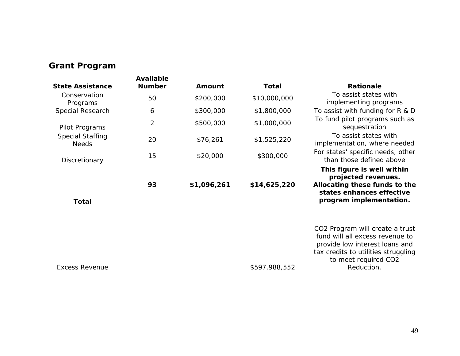## **Grant Program**

| <b>Available</b> |               |               | <b>Rationale</b>                                                                                                                                                                  |
|------------------|---------------|---------------|-----------------------------------------------------------------------------------------------------------------------------------------------------------------------------------|
| 50               | \$200,000     | \$10,000,000  | To assist states with<br>implementing programs                                                                                                                                    |
| 6                | \$300,000     | \$1,800,000   | To assist with funding for $R & D$                                                                                                                                                |
| 2                | \$500,000     | \$1,000,000   | To fund pilot programs such as<br>sequestration                                                                                                                                   |
| 20               | \$76,261      | \$1,525,220   | To assist states with<br>implementation, where needed                                                                                                                             |
| 15               | \$20,000      | \$300,000     | For states' specific needs, other<br>than those defined above                                                                                                                     |
| 93               | \$1,096,261   | \$14,625,220  | This figure is well within<br>projected revenues.<br>Allocating these funds to the<br>states enhances effective<br>program implementation.                                        |
|                  |               | \$597,988,552 | CO2 Program will create a trust<br>fund will all excess revenue to<br>provide low interest loans and<br>tax credits to utilities struggling<br>to meet required CO2<br>Reduction. |
|                  | <b>Number</b> | Amount        | <b>Total</b>                                                                                                                                                                      |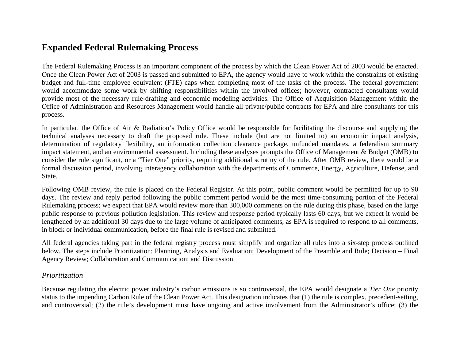### **Expanded Federal Rulemaking Process**

The Federal Rulemaking Process is an important component of the process by which the Clean Power Act of 2003 would be enacted. Once the Clean Power Act of 2003 is passed and submitted to EPA, the agency would have to work within the constraints of existing budget and full-time employee equivalent (FTE) caps when completing most of the tasks of the process. The federal government would accommodate some work by shifting responsibilities within the involved offices; however, contracted consultants would provide most of the necessary rule-drafting and economic modeling activities. The Office of Acquisition Management within the Office of Administration and Resources Management would handle all private/public contracts for EPA and hire consultants for this process.

In particular, the Office of Air & Radiation's Policy Office would be responsible for facilitating the discourse and supplying the technical analyses necessary to draft the proposed rule. These include (but are not limited to) an economic impact analysis, determination of regulatory flexibility, an information collection clearance package, unfunded mandates, a federalism summary impact statement, and an environmental assessment. Including these analyses prompts the Office of Management & Budget (OMB) to consider the rule significant, or a "Tier One" priority, requiring additional scrutiny of the rule. After OMB review, there would be a formal discussion period, involving interagency collaboration with the departments of Commerce, Energy, Agriculture, Defense, and State.

Following OMB review, the rule is placed on the Federal Register. At this point, public comment would be permitted for up to 90 days. The review and reply period following the public comment period would be the most time-consuming portion of the Federal Rulemaking process; we expect that EPA would review more than 300,000 comments on the rule during this phase, based on the large public response to previous pollution legislation. This review and response period typically lasts 60 days, but we expect it would be lengthened by an additional 30 days due to the large volume of anticipated comments, as EPA is required to respond to all comments, in block or individual communication, before the final rule is revised and submitted.

All federal agencies taking part in the federal registry process must simplify and organize all rules into a six-step process outlined below. The steps include Prioritization; Planning, Analysis and Evaluation; Development of the Preamble and Rule; Decision – Final Agency Review; Collaboration and Communication; and Discussion.

#### *Prioritization*

Because regulating the electric power industry's carbon emissions is so controversial, the EPA would designate a *Tier One* priority status to the impending Carbon Rule of the Clean Power Act. This designation indicates that (1) the rule is complex, precedent-setting, and controversial; (2) the rule's development must have ongoing and active involvement from the Administrator's office; (3) the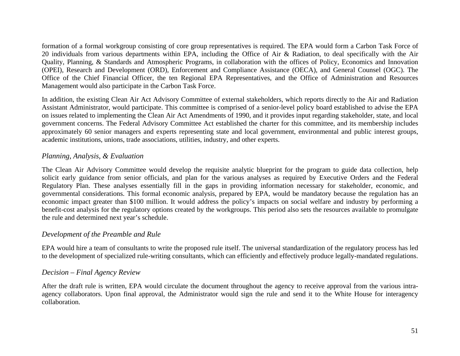formation of a formal workgroup consisting of core group representatives is required. The EPA would form a Carbon Task Force of 20 individuals from various departments within EPA, including the Office of Air & Radiation, to deal specifically with the Air Quality, Planning, & Standards and Atmospheric Programs, in collaboration with the offices of Policy, Economics and Innovation (OPEI), Research and Development (ORD), Enforcement and Compliance Assistance (OECA), and General Counsel (OGC). The Office of the Chief Financial Officer, the ten Regional EPA Representatives, and the Office of Administration and Resources Management would also participate in the Carbon Task Force.

In addition, the existing Clean Air Act Advisory Committee of external stakeholders, which reports directly to the Air and Radiation Assistant Administrator, would participate. This committee is comprised of a senior-level policy board established to advise the EPA on issues related to implementing the Clean Air Act Amendments of 1990, and it provides input regarding stakeholder, state, and local government concerns. The Federal Advisory Committee Act established the charter for this committee, and its membership includes approximately 60 senior managers and experts representing state and local government, environmental and public interest groups, academic institutions, unions, trade associations, utilities, industry, and other experts.

#### *Planning, Analysis, & Evaluation*

The Clean Air Advisory Committee would develop the requisite analytic blueprint for the program to guide data collection, help solicit early guidance from senior officials, and plan for the various analyses as required by Executive Orders and the Federal Regulatory Plan. These analyses essentially fill in the gaps in providing information necessary for stakeholder, economic, and governmental considerations. This formal economic analysis, prepared by EPA, would be mandatory because the regulation has an economic impact greater than \$100 million. It would address the policy's impacts on social welfare and industry by performing a benefit-cost analysis for the regulatory options created by the workgroups. This period also sets the resources available to promulgate the rule and determined next year's schedule.

#### *Development of the Preamble and Rule*

EPA would hire a team of consultants to write the proposed rule itself. The universal standardization of the regulatory process has led to the development of specialized rule-writing consultants, which can efficiently and effectively produce legally-mandated regulations.

#### *Decision – Final Agency Review*

After the draft rule is written, EPA would circulate the document throughout the agency to receive approval from the various intraagency collaborators. Upon final approval, the Administrator would sign the rule and send it to the White House for interagency collaboration.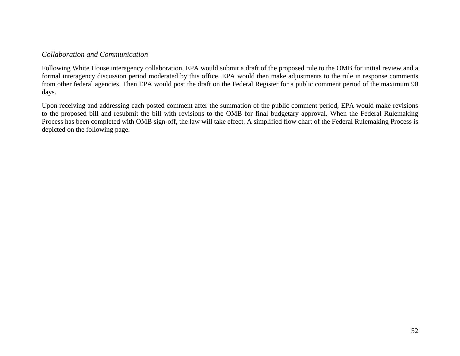#### *Collaboration and Communication*

Following White House interagency collaboration, EPA would submit a draft of the proposed rule to the OMB for initial review and a formal interagency discussion period moderated by this office. EPA would then make adjustments to the rule in response comments from other federal agencies. Then EPA would post the draft on the Federal Register for a public comment period of the maximum 90 days.

Upon receiving and addressing each posted comment after the summation of the public comment period, EPA would make revisions to the proposed bill and resubmit the bill with revisions to the OMB for final budgetary approval. When the Federal Rulemaking Process has been completed with OMB sign-off, the law will take effect. A simplified flow chart of the Federal Rulemaking Process is depicted on the following page.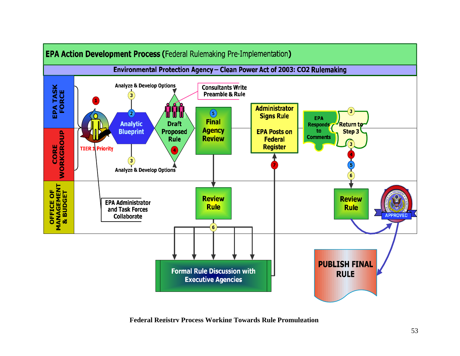

**Federal Registry Process Working Towards Rule Promulgation**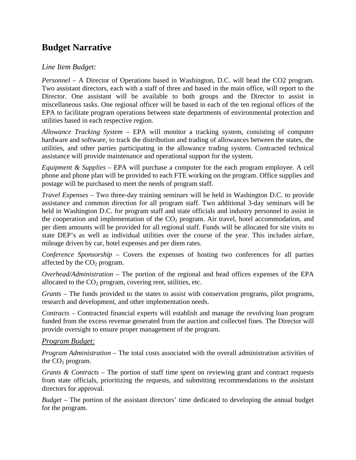## **Budget Narrative**

#### *Line Item Budget:*

*Personnel* – A Director of Operations based in Washington, D.C. will head the CO2 program. Two assistant directors, each with a staff of three and based in the main office, will report to the Director. One assistant will be available to both groups and the Director to assist in miscellaneous tasks. One regional officer will be based in each of the ten regional offices of the EPA to facilitate program operations between state departments of environmental protection and utilities based in each respective region.

*Allowance Tracking System* – EPA will monitor a tracking system, consisting of computer hardware and software, to track the distribution and trading of allowances between the states, the utilities, and other parties participating in the allowance trading system. Contracted technical assistance will provide maintenance and operational support for the system.

*Equipment & Supplies* – EPA will purchase a computer for the each program employee. A cell phone and phone plan will be provided to each FTE working on the program. Office supplies and postage will be purchased to meet the needs of program staff.

*Travel Expenses* – Two three-day training seminars will be held in Washington D.C. to provide assistance and common direction for all program staff. Two additional 3-day seminars will be held in Washington D.C. for program staff and state officials and industry personnel to assist in the cooperation and implementation of the  $CO<sub>2</sub>$  program. Air travel, hotel accommodation, and per diem amounts will be provided for all regional staff. Funds will be allocated for site visits to state DEP's as well as individual utilities over the course of the year. This includes airfare, mileage driven by car, hotel expenses and per diem rates.

*Conference Sponsorship* – Covers the expenses of hosting two conferences for all parties affected by the  $CO<sub>2</sub>$  program.

*Overhead/Administration* – The portion of the regional and head offices expenses of the EPA allocated to the  $CO<sub>2</sub>$  program, covering rent, utilities, etc.

*Grants* – The funds provided to the states to assist with conservation programs, pilot programs, research and development, and other implementation needs.

*Contracts* – Contracted financial experts will establish and manage the revolving loan program funded from the excess revenue generated from the auction and collected fines. The Director will provide oversight to ensure proper management of the program.

#### *Program Budget:*

*Program Administration* – The total costs associated with the overall administration activities of the  $CO<sub>2</sub>$  program.

*Grants & Contracts* – The portion of staff time spent on reviewing grant and contract requests from state officials, prioritizing the requests, and submitting recommendations to the assistant directors for approval.

*Budget* – The portion of the assistant directors' time dedicated to developing the annual budget for the program.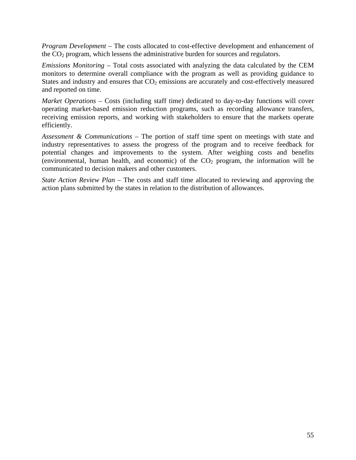*Program Development* – The costs allocated to cost-effective development and enhancement of the CO2 program, which lessens the administrative burden for sources and regulators.

*Emissions Monitoring* – Total costs associated with analyzing the data calculated by the CEM monitors to determine overall compliance with the program as well as providing guidance to States and industry and ensures that  $CO<sub>2</sub>$  emissions are accurately and cost-effectively measured and reported on time.

*Market Operations* – Costs (including staff time) dedicated to day-to-day functions will cover operating market-based emission reduction programs, such as recording allowance transfers, receiving emission reports, and working with stakeholders to ensure that the markets operate efficiently.

*Assessment & Communications* – The portion of staff time spent on meetings with state and industry representatives to assess the progress of the program and to receive feedback for potential changes and improvements to the system. After weighing costs and benefits (environmental, human health, and economic) of the  $CO<sub>2</sub>$  program, the information will be communicated to decision makers and other customers.

*State Action Review Plan* – The costs and staff time allocated to reviewing and approving the action plans submitted by the states in relation to the distribution of allowances.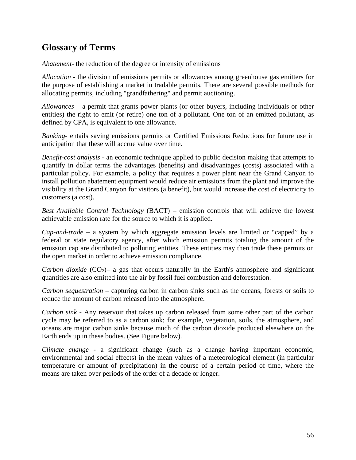## **Glossary of Terms**

*Abatement*- the reduction of the degree or intensity of emissions

*Allocation* - the division of emissions permits or allowances among greenhouse gas emitters for the purpose of establishing a market in tradable permits. There are several possible methods for allocating permits, including "grandfathering" and permit auctioning.

*Allowances* – a permit that grants power plants (or other buyers, including individuals or other entities) the right to emit (or retire) one ton of a pollutant. One ton of an emitted pollutant, as defined by CPA, is equivalent to one allowance.

*Banking*- entails saving emissions permits or Certified Emissions Reductions for future use in anticipation that these will accrue value over time.

*Benefit-cost analysis* - an economic technique applied to public decision making that attempts to quantify in dollar terms the advantages (benefits) and disadvantages (costs) associated with a particular policy. For example, a policy that requires a power plant near the Grand Canyon to install pollution abatement equipment would reduce air emissions from the plant and improve the visibility at the Grand Canyon for visitors (a benefit), but would increase the cost of electricity to customers (a cost).

*Best Available Control Technology* (BACT) – emission controls that will achieve the lowest achievable emission rate for the source to which it is applied.

*Cap-and-trade –* a system by which aggregate emission levels are limited or "capped" by a federal or state regulatory agency, after which emission permits totaling the amount of the emission cap are distributed to polluting entities. These entities may then trade these permits on the open market in order to achieve emission compliance.

*Carbon dioxide* (CO<sub>2</sub>)– a gas that occurs naturally in the Earth's atmosphere and significant quantities are also emitted into the air by fossil fuel combustion and deforestation.

*Carbon sequestration* – capturing carbon in carbon sinks such as the oceans, forests or soils to reduce the amount of carbon released into the atmosphere.

*Carbon sink* - Any reservoir that takes up carbon released from some other part of the carbon cycle may be referred to as a carbon sink; for example, vegetation, soils, the atmosphere, and oceans are major carbon sinks because much of the carbon dioxide produced elsewhere on the Earth ends up in these bodies. (See Figure below).

*Climate change* - a significant change (such as a change having important economic, environmental and social effects) in the mean values of a meteorological element (in particular temperature or amount of precipitation) in the course of a certain period of time, where the means are taken over periods of the order of a decade or longer.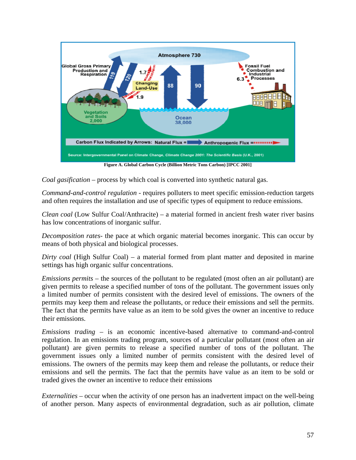

**Figure A. Global Carbon Cycle (Billion Metric Tons Carbon) [IPCC 2001]** 

*Coal gasification* – process by which coal is converted into synthetic natural gas.

*Command-and-control regulation* - requires polluters to meet specific emission-reduction targets and often requires the installation and use of specific types of equipment to reduce emissions.

*Clean coal* (Low Sulfur Coal/Anthracite) – a material formed in ancient fresh water river basins has low concentrations of inorganic sulfur.

*Decomposition rates*- the pace at which organic material becomes inorganic. This can occur by means of both physical and biological processes.

*Dirty coal* (High Sulfur Coal) – a material formed from plant matter and deposited in marine settings has high organic sulfur concentrations.

*Emissions permits* – the sources of the pollutant to be regulated (most often an air pollutant) are given permits to release a specified number of tons of the pollutant. The government issues only a limited number of permits consistent with the desired level of emissions. The owners of the permits may keep them and release the pollutants, or reduce their emissions and sell the permits. The fact that the permits have value as an item to be sold gives the owner an incentive to reduce their emissions.

*Emissions trading* – is an economic incentive-based alternative to command-and-control regulation. In an emissions trading program, sources of a particular pollutant (most often an air pollutant) are given permits to release a specified number of tons of the pollutant. The government issues only a limited number of permits consistent with the desired level of emissions. The owners of the permits may keep them and release the pollutants, or reduce their emissions and sell the permits. The fact that the permits have value as an item to be sold or traded gives the owner an incentive to reduce their emissions

*Externalities* – occur when the activity of one person has an inadvertent impact on the well-being of another person. Many aspects of environmental degradation, such as air pollution, climate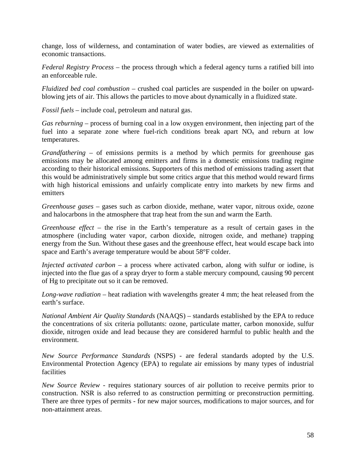change, loss of wilderness, and contamination of water bodies, are viewed as externalities of economic transactions.

*Federal Registry Process* – the process through which a federal agency turns a ratified bill into an enforceable rule.

*Fluidized bed coal combustion –* crushed coal particles are suspended in the boiler on upwardblowing jets of air. This allows the particles to move about dynamically in a fluidized state.

*Fossil fuels* – include coal, petroleum and natural gas.

*Gas reburning –* process of burning coal in a low oxygen environment, then injecting part of the fuel into a separate zone where fuel-rich conditions break apart  $NO<sub>x</sub>$  and reburn at low temperatures.

*Grandfathering* – of emissions permits is a method by which permits for greenhouse gas emissions may be allocated among emitters and firms in a domestic emissions trading regime according to their historical emissions. Supporters of this method of emissions trading assert that this would be administratively simple but some critics argue that this method would reward firms with high historical emissions and unfairly complicate entry into markets by new firms and emitters

*Greenhouse gases* – gases such as carbon dioxide, methane, water vapor, nitrous oxide, ozone and halocarbons in the atmosphere that trap heat from the sun and warm the Earth.

*Greenhouse effect* – the rise in the Earth's temperature as a result of certain gases in the atmosphere (including water vapor, carbon dioxide, nitrogen oxide, and methane) trapping energy from the Sun. Without these gases and the greenhouse effect, heat would escape back into space and Earth's average temperature would be about 58°F colder.

*Injected activated carbon –* a process where activated carbon, along with sulfur or iodine, is injected into the flue gas of a spray dryer to form a stable mercury compound, causing 90 percent of Hg to precipitate out so it can be removed.

*Long-wave radiation –* heat radiation with wavelengths greater 4 mm; the heat released from the earth's surface.

*National Ambient Air Quality Standards* (NAAQS) *–* standards established by the EPA to reduce the concentrations of six criteria pollutants: ozone, particulate matter, carbon monoxide, sulfur dioxide, nitrogen oxide and lead because they are considered harmful to public health and the environment.

*New Source Performance Standards* (NSPS) - are federal standards adopted by the U.S. Environmental Protection Agency (EPA) to regulate air emissions by many types of industrial facilities

*New Source Review -* requires stationary sources of air pollution to receive permits prior to construction. NSR is also referred to as construction permitting or preconstruction permitting. There are three types of permits - for new major sources, modifications to major sources, and for non-attainment areas.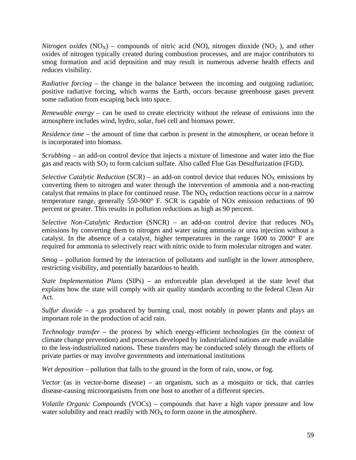*Nitrogen oxides*  $(NO_X)$  – compounds of nitric acid  $(NO)$ , nitrogen dioxide  $(NO_2)$ , and other oxides of nitrogen typically created during combustion processes, and are major contributors to smog formation and acid deposition and may result in numerous adverse health effects and reduces visibility.

*Radiative forcing* – the change in the balance between the incoming and outgoing radiation; positive radiative forcing, which warms the Earth, occurs because greenhouse gases prevent some radiation from escaping back into space.

*Renewable energy* – can be used to create electricity without the release of emissions into the atmosphere includes wind, hydro, solar, fuel cell and biomass power.

*Residence time* – the amount of time that carbon is present in the atmosphere, or ocean before it is incorporated into biomass.

*Scrubbing* – an add-on control device that injects a mixture of limestone and water into the flue gas and reacts with  $SO_2$  to form calcium sulfate. Also called Flue Gas Desulfurization (FGD).

*Selective Catalytic Reduction* (SCR) – an add-on control device that reduces  $NO<sub>X</sub>$  emissions by converting them to nitrogen and water through the intervention of ammonia and a non-reacting catalyst that remains in place for continued reuse. The  $NO<sub>X</sub>$  reduction reactions occur in a narrow temperature range, generally 550-900° F. SCR is capable of NOx emission reductions of 90 percent or greater. This results in pollution reductions as high as 90 percent.

*Selective Non-Catalytic Reduction* (SNCR) – an add-on control device that reduces  $NO_X$ emissions by converting them to nitrogen and water using ammonia or urea injection without a catalyst. In the absence of a catalyst, higher temperatures in the range 1600 to 2000° F are required for ammonia to selectively react with nitric oxide to form molecular nitrogen and water.

*Smog* – pollution formed by the interaction of pollutants and sunlight in the lower atmosphere, restricting visibility, and potentially hazardous to health.

*State Implementation Plans* (SIPs) *–* an enforceable plan developed at the state level that explains how the state will comply with air quality standards according to the federal Clean Air Act.

*Sulfur dioxide* – a gas produced by burning coal, most notably in power plants and plays an important role in the production of acid rain.

*Technology transfer* – the process by which energy-efficient technologies (in the context of climate change prevention) and processes developed by industrialized nations are made available to the less-industrialized nations. These transfers may be conducted solely through the efforts of private parties or may involve governments and international institutions

*Wet deposition* – pollution that falls to the ground in the form of rain, snow, or fog.

*Vector* (as in vector-borne disease) – an organism, such as a mosquito or tick, that carries disease-causing microorganisms from one host to another of a different species.

*Volatile Organic Compounds* (VOCs) – compounds that have a high vapor pressure and low water solubility and react readily with  $NO<sub>X</sub>$  to form ozone in the atmosphere.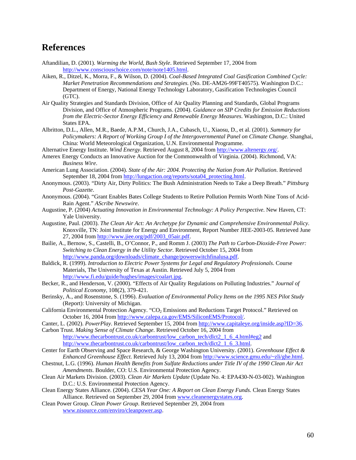### **References**

- Aftandilian, D. (2001). *Warming the World, Bush Style*. Retrieved September 17, 2004 from http://www.consciouschoice.com/note/note1405.html.
- Aiken, R., Ditzel, K., Morra, F., & Wilson, D. (2004). *Coal-Based Integrated Coal Gasification Combined Cycle: Market Penetration Recommendations and Strategies.* (No. DE-AM26-99FT40575). Washington D.C.: Department of Energy, National Energy Technology Laboratory, Gasification Technologies Council (GTC).
- Air Quality Strategies and Standards Division, Office of Air Quality Planning and Standards, Global Programs Division, and Office of Atmospheric Programs. (2004). *Guidance on SIP Credits for Emission Reductions from the Electric-Sector Energy Efficiency and Renewable Energy Measures*. Washington, D.C.: United States EPA.
- Albritton, D.L., Allen, M.R., Baede, A.P.M., Church, J.A., Cubasch, U., Xiaosu, D., et al. (2001). *Summary for Policymakers: A Report of Working Group I of the Intergovernmental Panel on Climate Change*. Shanghai, China: World Meteorological Organization, U.N. Environmental Programme.
- Alternative Energy Institute. *Wind Energy*. Retrieved August 8, 2004 from http://www.altenergy.org/.
- Amerex Energy Conducts an Innovative Auction for the Commonwealth of Virginia. (2004). Richmond, VA: *Business Wire*.
- American Lung Association. (2004). *State of the Air: 2004. Protecting the Nation from Air Pollution*. Retrieved September 18, 2004 from http://lungaction.org/reports/sota04\_protecting.html.
- Anonymous. (2003). "Dirty Air, Dirty Politics: The Bush Administration Needs to Take a Deep Breath." *Pittsburg Post-Gazette*.
- Anonymous. (2004). "Grant Enables Bates College Students to Retire Pollution Permits Worth Nine Tons of Acid-Rain Agent." *AScribe Newswire*.
- Augustine, P. (2004) *Actuating Innovation in Environmental Technology: A Policy Perspective*. New Haven, CT: Yale University.
- Augustine, Paul. (2003). *The Clean Air Act: An Archetype for Dynamic and Comprehensive Environmental Policy*. Knoxville, TN: Joint Institute for Energy and Environment, Report Number JIEE-2003-05. Retrieved June 27, 2004 from http://www.jiee.org/pdf/2003\_05air.pdf.
- Bailie, A., Bernow, S., Castelli, B., O'Connor, P., and Romm J. (2003) *The Path to Carbon-Dioxide-Free Power: Switching to Clean Energy in the Utility Sector*. Retrieved October 15, 2004 from http://www.panda.org/downloads/climate\_change/powerswitchfinalusa.pdf.
- Baldick, R. (1999). *Introduction to Electric Power Systems for Legal and Regulatory Professionals*. Course Materials, The University of Texas at Austin. Retrieved July 5, 2004 from http://www.fi.edu/guide/hughes/images/coalart.jpg.
- Becker, R., and Henderson, V. (2000). "Effects of Air Quality Regulations on Polluting Industries." *Journal of Political Economy*, 108(2), 379-421.
- Berinsky, A., and Rosenstone, S. (1996). *Evaluation of Environmental Policy Items on the 1995 NES Pilot Study* (Report): University of Michigan.
- California Environmental Protection Agency. "CO<sub>2</sub> Emissions and Reductions Target Protocol." Retrieved on October 16, 2004 from http://www.calepa.ca.gov/EMS/SiliconEMS/Protocol/.
- Canter, L. (2002). *PowerPlay*. Retrieved September 15, 2004 from http://www.capitaleye.org/inside.asp?ID=36.
- Carbon Trust. *Making Sense of Climate Change*. Retrieved October 16, 2004 from http://www.thecarbontrust.co.uk/carbontrust/low\_carbon\_tech/dlct2\_1\_6\_4.html#eg2 and http://www.thecarbontrust.co.uk/carbontrust/low\_carbon\_tech/dlct2\_1\_6\_3.html.
- Center for Earth Observing and Space Research, & George Washington University. (2001). *Greenhouse Effect & Enhanced Greenhouse Effect*. Retrieved July 13, 2004 from http://www.science.gmu.edu/~zli/ghe.html.
- Chestnut, L.G. (1996). *Human Health Benefits from Sulfate Reductions under Title IV of the 1990 Clean Air Act Amendments*. Boulder, CO: U.S. Environmental Protection Agency.
- Clean Air Markets Division. (2003). *Clean Air Markets Update* (Update No. 4: EPA430-N-03-002). Washington D.C.: U.S. Environmental Protection Agency.
- Clean Energy States Alliance. (2004). *CESA Year One: A Report on Clean Energy Funds.* Clean Energy States Alliance. Retrieved on September 29, 2004 from www.cleanenergystates.org.
- Clean Power Group. *Clean Power Group*. Retrieved September 29, 2004 from www.nisource.com/enviro/cleanpower.asp.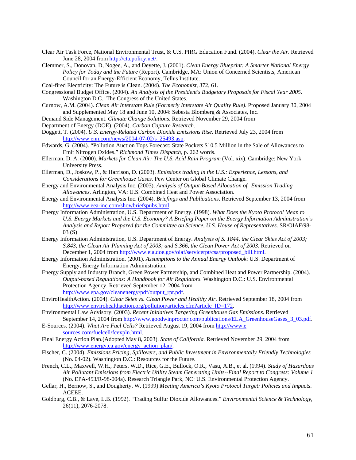- Clear Air Task Force, National Environmental Trust, & U.S. PIRG Education Fund. (2004). *Clear the Air*. Retrieved June 28, 2004 from http://cta.policy.net/.
- Clemmer, S., Donovan, D, Nogee, A., and Deyette, J. (2001). *Clean Energy Blueprint: A Smarter National Energy Policy for Today and the Future* (Report). Cambridge, MA: Union of Concerned Scientists, American Council for an Energy-Efficient Economy, Tellus Institute.
- Coal-fired Electricity: The Future is Clean. (2004). *The Economist*, 372, 61.
- Congressional Budget Office. (2004). *An Analysis of the President's Budgetary Proposals for Fiscal Year 2005*. Washington D.C.: The Congress of the United States.
- Curnow, A.M. (2004). *Clean Air Interstate Rule (Formerly Interstate Air Quality Rule)*. Proposed January 30, 2004 and Supplemented May 18 and June 10, 2004: Sebesta Blomberg & Associates, Inc.
- Demand Side Management. *Climate Change Solutions.* Retrieved November 29, 2004 from
- Department of Energy (DOE). (2004). *Carbon Capture Research*.
- Doggett, T. (2004). *U.S. Energy-Related Carbon Dioxide Emissions Rise*. Retrieved July 23, 2004 from http://www.enn.com/news/2004-07-02/s\_25493.asp.
- Edwards, G. (2004). "Pollution Auction Tops Forecast: State Pockets \$10.5 Million in the Sale of Allowances to Emit Nitrogen Oxides." *Richmond Times Dispatch,* p. 262 words.
- Ellerman, D. A. (2000). *Markets for Clean Air: The U.S. Acid Rain Program* (Vol. xix). Cambridge: New York University Press.
- Ellerman, D., Joskow, P., & Harrison, D. (2003). *Emissions trading in the U.S.: Experience, Lessons, and Considerations for Greenhouse Gases.* Pew Center on Global Climate Change.
- Energy and Environmental Analysis Inc. (2003). *Analysis of Output-Based Allocation of Emission Trading Allowances*. Arlington, VA: U.S. Combined Heat and Power Association.
- Energy and Environmental Analysis Inc. (2004). *Briefings and Publications*. Retrieved September 13, 2004 from http://www.eea-inc.com/showbriefspubs.html.
- Energy Information Administration, U.S. Department of Energy. (1998). *What Does the Kyoto Protocol Mean to U.S. Energy Markets and the U.S. Economy? A Briefing Paper on the Energy Information Administration's Analysis and Report Prepared for the Committee on Science, U.S. House of Representatives*. SR/OIAF/98- 03 (S)
- Energy Information Administration, U.S. Department of Energy. *Analysis of S. 1844, the Clear Skies Act of 2003; S.843, the Clean Air Planning Act of 2003; and S.366, the Clean Power Act of 2003*. Retrieved on December 1, 2004 from http://www.eia.doe.gov/oiaf/servicerpt/csa/proposed\_bill.html.
- Energy Information Administration. (2001). *Assumptions to the Annual Energy Outlook*: U.S. Department of Energy, Energy Information Administration.
- Energy Supply and Industry Branch, Green Power Partnership, and Combined Heat and Power Partnership. (2004). *Output-based Regulations: A Handbook for Air Regulators*. Washington D.C.: U.S. Environmental Protection Agency. Retrieved September 12, 2004 from http://www.epa.gov/cleanenergy/pdf/output\_rpt.pdf.
- EnviroHealthAction. (2004). *Clear Skies vs. Clean Power and Healthy Air*. Retrieved September 18, 2004 from http://www.envirohealthaction.org/pollution/articles.cfm?article\_ID=172.
- Environmental Law Advisory. (2003). *Recent Initiatives Targeting Greenhouse Gas Emissions*. Retrieved September 14, 2004 from http://www.goodwinprocter.com/publications/ELA\_GreenhouseGases\_3\_03.pdf.
- E-Sources. (2004). *What Are Fuel Cells?* Retrieved August 19, 2004 from http://www.e sources.com/fuelcell/fcexpln.html.
- Final Energy Action Plan.(Adopted May 8, 2003). *State of California.* Retrieved November 29, 2004 from http://www.energy.ca.gov/energy\_action\_plan/.
- Fischer, C. (2004). *Emissions Pricing, Spillovers, and Public Investment in Environmentally Friendly Technologies* (No. 04-02). Washington D.C.: Resources for the Future.
- French, C.L., Maxwell, W.H., Peters, W.D., Rice, G.E., Bullock, O.R., Vasu, A.B., et al. (1994). *Study of Hazardous Air Pollutant Emissions from Electric Utility Steam Generating Units--Final Report to Congress: Volume 1* (No. EPA-453/R-98-004a). Research Triangle Park, NC: U.S. Environmental Protection Agency.
- Gellar, H., Bernow, S., and Dougherty, W. (1999) *Meeting America's Kyoto Protocol Target: Policies and Impacts*. ACEEE.
- Goldburg, C.B., & Lave, L.B. (1992). "Trading Sulfur Dioxide Allowances." *Environmental Science & Technology,*  26(11), 2076-2078.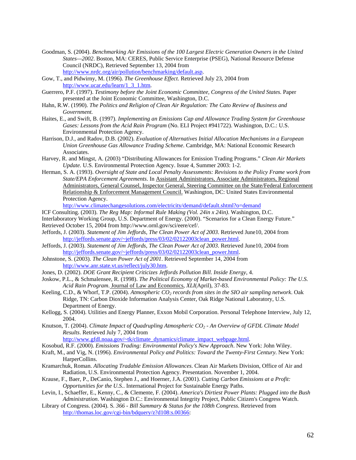- Goodman, S. (2004). *Benchmarking Air Emissions of the 100 Largest Electric Generation Owners in the United States—2002*. Boston, MA: CERES, Public Service Enterprise (PSEG), National Resource Defense Council (NRDC), Retrieved September 13, 2004 from http://www.nrdc.org/air/pollution/benchmarking/default.asp.
- Gow, T., and Pidwirny, M. (1996). *The Greenhouse Effect*. Retrieved July 23, 2004 from http://www.ucar.edu/learn/1\_3\_1.htm.
- Guerrero, P.F. (1997). *Testimony before the Joint Economic Committee, Congress of the United States.* Paper presented at the Joint Economic Committee, Washington, D.C.
- Hahn, R.W. (1990). *The Politics and Religion of Clean Air Regulation: The Cato Review of Business and Government.*
- Haites, E., and Swift, B. (1997). *Implementing an Emissions Cap and Allowance Trading System for Greenhouse Gases: Lessons from the Acid Rain Program* (No. ELI Project #941722). Washington, D.C.: U.S. Environmental Protection Agency.
- Harrison, D.J., and Radov, D.B. (2002). *Evaluation of Alternatives Initial Allocation Mechanisms in a European Union Greenhouse Gas Allowance Trading Scheme*. Cambridge, MA: National Economic Research Associates.
- Harvey, R. and Mingst, A. (2003) "Distributing Allowances for Emission Trading Programs." *Clean Air Markets Update.* U.S. Environmental Protection Agency. Issue 4, Summer 2003: 1-2.
- Herman, S. A. (1993). *Oversight of State and Local Penalty Assessments: Revisions to the Policy Frame work from State/EPA Enforcement Agreements*. In Assistant Administrators, Associate Administrators, Regional Administrators, General Counsel, Inspector General, Steering Committee on the State/Federal Enforcement Relationship & Enforcement Management Council. Washington, DC: United States Environmental Protection Agency.

http://www.climatechangesolutions.com/electricity/demand/default.shtml?o=demand

- ICF Consulting. (2003). *The Reg Map: Informal Rule Making (Vol. 24in x 24in)*. Washington, D.C. Interlaboratory Working Group, U.S. Department of Energy. (2000). "Scenarios for a Clean Energy Future."
- Retrieved October 15, 2004 from http://www.ornl.gov/sci/eere/cef/.
- Jeffords, J. (2003). *Statement of Jim Jeffords, The Clean Power Act of 2003*. Retrieved June10, 2004 from http://jeffords.senate.gov/~jeffords/press/03/02/02122003clean\_power.html.
- Jeffords, J. (2003). *Statement of Jim Jeffords, The Clean Power Act of 2003*. Retrieved June10, 2004 from http://jeffords.senate.gov/~jeffords/press/03/02/02122003clean\_power.html.
- Johnstone, S. (2003). *The Clean Power Act of 2001*. Retrieved September 14, 2004 from http://www.anr.state.vt.us/reflect/july30.htm.
- Jones, D. (2002). *DOE Grant Recipient Criticizes Jeffords Pollution Bill*. *Inside Energy,* 4.
- Joskow, P.L., & Schmalensee, R. (1998). *The Political Economy of Market-based Environmental Policy: The U.S. Acid Rain Program*. Journal of Law and Economics*, XLI*(April), 37-83.
- Keeling, C.D., & Whorf, T.P. (2004). *Atmospheric CO<sub>2</sub> records from sites in the SIO air sampling network*. Oak Ridge, TN: Carbon Dioxide Information Analysis Center, Oak Ridge National Laboratory, U.S. Department of Energy.
- Kellogg, S. (2004). Utilities and Energy Planner, Exxon Mobil Corporation. Personal Telephone Interview, July 12, 2004.
- Knutson, T. (2004). *Climate Impact of Quadrupling Atmospheric CO2 An Overview of GFDL Climate Model Results*. Retrieved July 7, 2004 from

http://www.gfdl.noaa.gov/~tk/climate\_dynamics/climate\_impact\_webpage.html.

- Kosobud, R.F. (2000). *Emissions Trading: Environmental Policy's New Approach*. New York: John Wiley.
- Kraft, M., and Vig, N. (1996). *Environmental Policy and Politics: Toward the Twenty-First Century*. New York: HarperCollins.
- Kramarchuk, Roman. *Allocating Tradable Emission Allowances*. Clean Air Markets Division, Office of Air and Radiation, U.S. Environmental Protection Agency. Presentation. November 1, 2004.
- Krause, F., Baer, P., DeCanio, Stephen J., and Hoerner, J.A. (2001). *Cutting Carbon Emissions at a Profit: Opportunities for the U.S.*. International Project for Sustainable Energy Paths.
- Levin, I., Schaeffer, E., Kenny, C., & Clemente, F. (2004). *America's Dirtiest Power Plants: Plugged into the Bush Administration*. Washington D.C.: Environmental Integrity Project, Public Citizen's Congress Watch.
- Library of Congress. (2004). S*. 366 Bill Summary & Status for the 108th Congress*. Retrieved from http://thomas.loc.gov/cgi-bin/bdquery/z?d108:s.00366: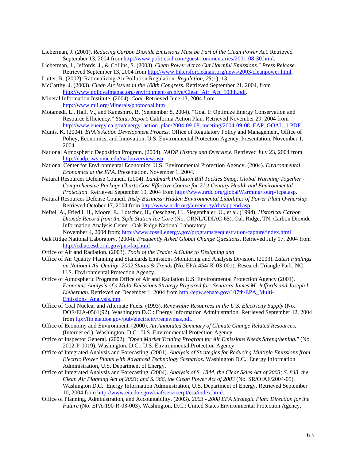- Lieberman, J. (2001). *Reducing Carbon Dioxide Emissions Must be Part of the Clean Power Act*. Retrieved September 13, 2004 from http://www.politicsol.com/guest-commentaries/2001-08-30.html.
- Lieberman, J., Jeffords, J., & Collins, S. (2003). *Clean Power Act to Cut Harmful Emissions." Press Release*. Retrieved September 13, 2004 from http://www.hikersforcleanair.org/news/2003/cleanpower.html.
- Lutter, R. (2002). Rationalizing Air Pollution Regulation. *Regulation, 25*(1), 13.
- McCarthy, J. (2003). *Clean Air Issues in the 108th Congress*. Retrieved September 21, 2004, from http://www.policyalmanac.org/environment/archive/Clean\_Air\_Act\_108th.pdf.
- Mineral Information Institute. (2004). *Coal.* Retrieved June 13, 2004 from http://www.mii.org/Minerals/photocoal.htm
- Motamedi, L., Hall, V., and Kaneshiro, B. (September 8, 2004). "Goal 1: Optimize Energy Conservation and Resource Efficiency." *Status Report*. California Action Plan. Retrieved November 29, 2004 from http://www.energy.ca.gov/energy\_action\_plan/2004-09-08\_meeting/2004-09-08\_EAP\_GOAL\_1.PDF
- Munis, K. (2004). *EPA's Action Development Process*. Office of Regulatory Policy and Management, Office of Policy, Economics, and Innovation, U.S. Environmental Protection Agency. Presentation. November 1, 2004.
- National Atmospheric Deposition Program. (2004). *NADP History and Overview*. Retrieved July 23, 2004 from http://nadp.sws.uiuc.edu/nadpoverview.asp.
- National Center for Environmental Economics, U.S. Environmental Protection Agency. (2004). *Environmental Economics at the EPA*. Presentation. November 1, 2004.
- Natural Resources Defense Council. (2004). *Landmark Pollution Bill Tackles Smog, Global Warming Together Comprehensive Package Charts Cost Effective Course for 21st Century Health and Environmental Protection*. Retrieved September 19, 2004 from http://www.nrdc.org/globalWarming/fourp/fcpa.asp.
- Natural Resources Defense Council. *Risky Business: Hidden Environmental Liabilities of Power Plant Ownership*. Retrieved October 17, 2004 from http://www.nrdc.org/air/energy/rbr/append.asp.
- Neftel, A., Friedli, H., Moore, E., Lotscher, H., Oeschger, H., Siegenthaler, U., et al. (1994). *Historical Carbon Dioxide Record from the Siple Station Ice Core* (No. ORNL/CDIAC-65). Oak Ridge, TN: Carbon Dioxide Information Analysis Center, Oak Ridge National Laboratory.
	- November 4, 2004 from: http://www.fossil.energy.gov/programs/sequestration/capture/index.html
- Oak Ridge National Laboratory. (2004). *Frequently Asked Global Change Questions*. Retrieved July 17, 2004 from http://cdiac.esd.ornl.gov/pns/faq.html
- Office of Air and Radiation. (2003). *Tools of the Trade: A Guide to Designing and*
- Office of Air Quality Planning and Standards Emissions Monitoring and Analysis Division. (2003). *Latest Findings on National Air Quality: 2002 Status & Trends* (No. EPA 454/ K-03-001). Research Triangle Park, NC: U.S. Environmental Protection Agency.
- Office of Atmospheric Programs Office of Air and Radiation U.S. Environmental Protection Agency (2001). *Economic Analysis of a Multi-Emissions Strategy Prepared for: Senators James M. Jeffords and Joseph I. Lieberman.* Retrieved on December 1, 2004 from http://epw.senate.gov/107th/EPA\_Multi-Emissions\_Analysis.htm.
- Office of Coal Nuclear and Alternate Fuels. (1993). *Renewable Resources in the U.S. Electricity Supply* (No. DOE/EIA-0561(92). Washington D.C.: Energy Information Administration. Retrieved September 12, 2004 from ftp://ftp.eia.doe.gov/pub/electricity/renewmas.pdf.
- Office of Economy and Environment. (2000). *An Annotated Summary of Climate Change Related Resources*, (Internet ed.). Washington, D.C.: U.S. Environmental Protection Agency.
- Office of Inspector General. (2002). *"Open Market Trading Program for Air Emissions Needs Strengthening."* (No. 2002-P-0019). Washington, D.C.: U.S. Environmental Protection Agency.
- Office of Integrated Analysis and Forecasting. (2001). *Analysis of Strategies for Reducing Multiple Emissions from Electric Power Plants with Advanced Technology Scenarios*. Washington D.C.: Energy Information Administration, U.S. Department of Energy.
- Office of Integrated Analysis and Forecasting. (2004). *Analysis of S. 1844, the Clear Skies Act of 2003; S. 843, the Clean Air Planning Act of 2003; and S. 366, the Clean Power Act of 2003* (No. SR/OIAF/2004-05). Washington D.C.: Energy Information Administration, U.S. Department of Energy. Retrieved September 10, 2004 from http://www.eia.doe.gov/oiaf/servicerpt/csa/index.html.
- Office of Planning, Administration, and Accountability. (2003). *2003 2008 EPA Strategic Plan: Direction for the Future* (No. EPA-190-R-03-003). Washington, D.C.: United States Environmental Protection Agency.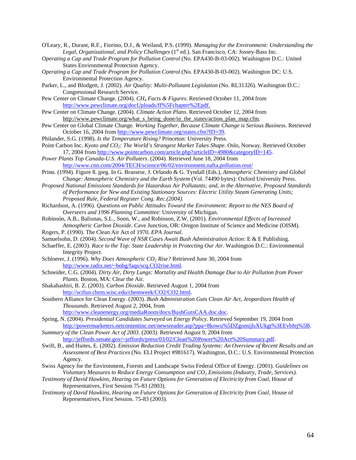O'Leary, R., Durant, R.F., Fiorino, D.J., & Weiland, P.S. (1999). *Managing for the Environment: Understanding the*  Legal, Organizational, and Policy Challenges (1<sup>st</sup> ed.). San Francisco, CA: Jossey-Bass Inc.

- *Operating a Cap and Trade Program for Pollution Control* (No. EPA430-B-03-002). Washington D.C.: United States Environmental Protection Agency.
- *Operating a Cap and Trade Program for Pollution Control* (No. EPA430-B-03-002). Washington DC: U.S. Environmental Protection Agency.
- Parker, L., and Blodgett, J. (2002). *Air Quality: Multi-Pollutant Legislation* (No. RL31326). Washington D.C.: Congressional Research Service.

Pew Center on Climate Change. (2004). *CH4 Facts & Figures*. Retrieved October 11, 2004 from http://www.pewclimate.org/docUploads/ff%5Fchapter%2Epdf.

- Pew Center on Climate Change. (2004). *Climate Action Plans*. Retrieved October 12, 2004 from http://www.pewclimate.org/what s\_being\_done/in\_the\_states/action\_plan\_map.cfm.
- Pew Center on Global Climate Change. *Working Together, Because Climate Change is Serious Business*. Retrieved October 16, 2004 from http://www.pewclimate.org/states.cfm?ID=39.
- Philander, S.G. (1998). *Is the Temperature Rising?* Princeton: University Press.
- Point Carbon Inc. *Kyoto and CO2: The World's Strangest Market Takes Shape*. Oslo, Norway. Retrieved October 17, 2004 from http://www.pointcarbon.com/article.php?articleID=4980&categoryID=145.

*Power Plants Top Canada-U.S. Air Polluters*. (2004). Retrieved June 18, 2004 from http://www.cnn.com/2004/TECH/science/06/02/environment.nafta.pollution.reut/

- Prinn. (1994). Figure 8. jpeg. In G. Brasseur, J. Orlando & G. Tyndall (Eds.), *Atmospheric Chemistry and Global Change: Atmospheric Chemistry and the Earth System* (Vol. 74490 bytes): Oxford University Press.
- *Proposed National Emissions Standards for Hazardous Air Pollutants; and, in the Alternative, Proposed Standards of Performance for New and Existing Stationary Sources: Electric Utility Steam Generating Units; Proposed Rule, Federal Register Cong. Rec.(2004).*
- Richardson, A. (1996). *Questions on Public Attitudes Toward the Environment: Report to the NES Board of Overseers and 1996 Planning Committee*: University of Michigan.
- Robinsón, A.B., Baliunas, S.L., Soon, W., and Robinson, Z.W. (2001). *Environmental Effects of Increased Atmospheric Carbon Dioxide*. Cave Junction, OR: Oregon Institute of Science and Medicine (OISM).
- Rogers, P. (1990). The Clean Air Act of 1970. *EPA Journal*.
- Samuelsohn, D. (2004). *Second Wave of NSR Cases Await Bush Administration Action*: E & E Publishing.
- Schaeffer, E. (2003). *Race to the Top: State Leadership in Protecting Our Air*. Washington D.C.: Environmental Integrity Project.
- Schloerer, J. (1996). *Why Does Atmospheric CO<sub>2</sub> Rise?* Retrieved June 30, 2004 from http://www.radix.net/~bobg/faqs/scq.CO2rise.html.
- Schneider, C.G. (2004). *Dirty Air, Dirty Lungs: Mortality and Health Damage Due to Air Pollution from Power Plants*. Boston, MA: Clear the Air.
- Shakahashiri, B. Z. (2003). *Carbon Dioxide*. Retrieved August 1, 2004 from http://scifun.chem.wisc.edu/chemweek/CO2/CO2.html.
- Southern Alliance for Clean Energy. (2003). *Bush Administration Guts Clean Air Act, Jeopardizes Health of Thousands*. Retrieved August 2, 2004, from http://www.cleanenergy.org/mediaRoom/docs/BushGutsCAA.doc.doc.

Spring, N. (2004). *Presidential Candidates Surveyed on Energy Policy*. Retrieved September 19, 2004 from http://powermarketers.netcontentinc.net/newsreader.asp?ppa=8kowu%5DZgomijlsXUkgt%3EEvbfej%5B.

*Summary of the Clean Power Act of 2003*. (2003). Retrieved August 9, 2004 from http://jeffords.senate.gov/~jeffords/press/03/02/Clean%20Power%20Act%20Summary.pdf.

- Swift, B., and Haites, E. (2002). *Emission Reduction Credit Trading Systems: An Overview of Recent Results and an Assessment of Best Practices* (No. ELI Project #981617). Washington, D.C.: U.S. Environmental Protection Agency.
- Swiss Agency for the Environment, Forests and Landscape Swiss Federal Office of Energy. (2001). *Guidelines on Voluntary Measures to Reduce Energy Consumption and CO2 Emissions (Industry, Trade, Services).*
- *Testimony of David Hawkins, Hearing on Future Options for Generation of Electricity from Coal*, House of Representatives, First Session 75-83 (2003).
- *Testimony of David Hawkins, Hearing on Future Options for Generation of Electricity from Coal*, House of Representatives, First Session. 75-83 (2003).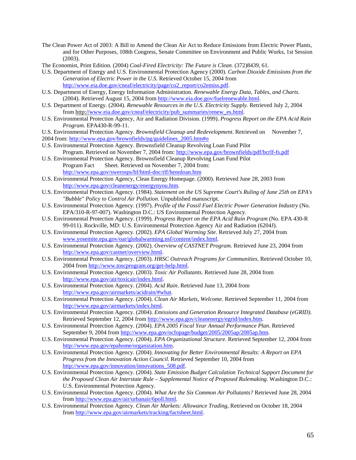- The Clean Power Act of 2003: A Bill to Amend the Clean Air Act to Reduce Emissions from Electric Power Plants, and for Other Purposes, 108th Congress, Senate Committee on Environment and Public Works, 1st Session (2003).
- The Economist, Print Edition. (2004) *Coal-Fired Electricity: The Future is Clean.* (372)8439*,* 61.
- U.S. Department of Energy and U.S. Environmental Protection Agency (2000). *Carbon Dioxide Emissions from the Generation of Electric Power in the U.S.* Retrieved October 15, 2004 from http://www.eia.doe.gov/cneaf/electricity/page/co2\_report/co2emiss.pdf.
- U.S. Department of Energy, Energy Information Administration. *Renewable Energy Data, Tables, and Charts*. (2004). Retrieved August 15, 2004 from http://www.eia.doe.gov/fuelrenewable.html.
- U.S. Department of Energy. (2004). *Renewable Resources in the U.S. Electricity Supply.* Retrieved July 2, 2004 from http://www.eia.doe.gov/cneaf/electricity/pub\_summaries/renew\_es.html.
- U.S. Environmental Protection Agency, Air and Radiation Division. (1999). *Progress Report on the EPA Acid Rain Program*. EPA430-R-99-11.
- U.S. Environmental Protection Agency. *Brownsfield Cleanup and Redevelopment*. Retrieved on November 7, 2004 from: http://www.epa.gov/brownfields/pg/guidelines\_2005.htm#o
- U.S. Environmental Protection Agency. Brownsfield Cleanup Revolving Loan Fund Pilot
- Program. Retrieved on November 7, 2004 from: http://www.epa.gov/brownfields/pdf/bcrlf-fs.pdf U.S. Environmental Protection Agency. Brownsfield Cleanup Revolving Loan Fund Pilot
- Program Fact Sheet. Retrieved on November 7, 2004 from: http://www.epa.gov/swerosps/bf/html-doc/rlf/hennloan.htm
- U.S. Environmental Protection Agency, Clean Energy Homepage. (2000). Retrieved June 28, 2003 from http://www.epa.gov/cleanenergy/energynyou.htm.
- U.S. Environmental Protection Agency. (1984). *Statement on the US Supreme Court's Ruling of June 25th on EPA's "Bubble" Policy to Control Air Pollution*. Unpublished manuscript.
- U.S. Environmental Protection Agency. (1997). *Profile of the Fossil Fuel Electric Power Generation Industry* (No. EPA/310-R-97-007). Washington D.C.: US Environmental Protection Agency.
- U.S. Environmental Protection Agency. (1999). *Progress Report on the EPA Acid Rain Program* (No. EPA 430-R 99-011). Rockville, MD: U.S. Environmental Protection Agency Air and Radiation (6204J).
- U.S. Environmental Protection Agency. (2002). *EPA Global Warming Site*. Retrieved July 27, 2004 from www.yosemite.epa.gov/oar/globalwarming.nsf/content/index.html.
- U.S. Environmental Protection Agency. (2002). *Overview of CASTNET Program*. Retrieved June 23, 2004 from http://www.epa.gov/castnet/overview.html.
- U.S. Environmental Protection Agency. (2003). *HRSC Outreach Programs for Communities*. Retrieved October 10, 2004 from http://www.toscprogram.org/get-help.html.
- U.S. Environmental Protection Agency. (2003). *Toxic Air Pollutants*. Retrieved June 28, 2004 from http://www.epa.gov/air/toxicair/index.html.
- U.S. Environmental Protection Agency. (2004). *Acid Rain*. Retrieved June 13, 2004 from http://www.epa.gov/airmarkets/acidrain/#what.
- U.S. Environmental Protection Agency. (2004). *Clean Air Markets, Welcome*. Retrieved September 11, 2004 from http://www.epa.gov/airmarkets/index.html.
- U.S. Environmental Protection Agency. (2004). *Emissions and Generation Resource Integrated Database (eGRID)*. Retrieved September 12, 2004 from http://www.epa.gov/cleanenergy/egrid/index.htm.
- U.S. Environmental Protection Agency. (2004). *EPA 2005 Fiscal Year Annual Performance Plan*. Retrieved September 9, 2004 from http://www.epa.gov/ocfopage/budget/2005/2005ap/2005ap.htm.
- U.S. Environmental Protection Agency. (2004). *EPA Organizational Structure*. Retrieved September 12, 2004 from http://www.epa.gov/epahome/organization.htm.
- U.S. Environmental Protection Agency. (2004). *Innovating for Better Environmental Results: A Report on EPA Progress from the Innovation Action Council.* Retrieved September 10, 2004 from http://www.epa.gov/innovation/innovations\_508.pdf.
- U.S. Environmental Protection Agency. (2004). *State Emission Budget Calculation Technical Support Document for the Proposed Clean Air Interstate Rule – Supplemental Notice of Proposed Rulemaking*. Washington D.C.: U.S. Environmental Protection Agency.
- U.S. Environmental Protection Agency. (2004). *What Are the Six Common Air Pollutants?* Retrieved June 28, 2004 from http://www.epa.gov/air/urbanair/6poll.html.
- U.S. Environmental Protection Agency. *Clean Air Markets: Allowance Trading*, Retrieved on October 18, 2004 from http://www.epa.gov/airmarkets/tracking/factsheet.html.